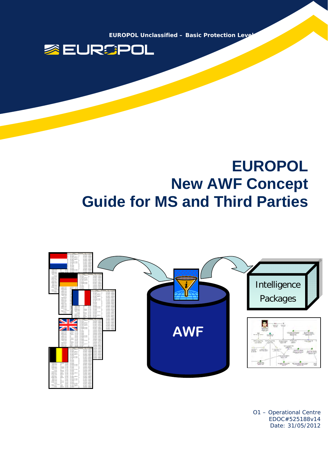**EUROPOL Unclassified - Basic Protection Levelle** 



# **EUROPOL New AWF Concept Guide for MS and Third Parties**



O1 – Operational Centre EDOC#525188v14 Date: 31/05/2012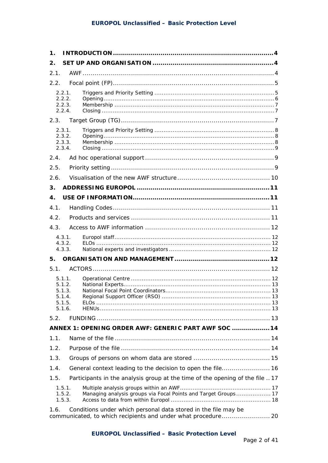| $\mathbf 1$ . |                                                          |                                                                              |  |
|---------------|----------------------------------------------------------|------------------------------------------------------------------------------|--|
| 2.            |                                                          |                                                                              |  |
| 2.1.          |                                                          |                                                                              |  |
| 2.2.          |                                                          |                                                                              |  |
|               | 2.2.1.<br>2.2.2.<br>2.2.3.<br>2.2.4.                     |                                                                              |  |
| 2.3.          |                                                          |                                                                              |  |
|               | 2.3.1.<br>2.3.2.<br>2.3.3.<br>2.3.4.                     |                                                                              |  |
| 2.4.          |                                                          |                                                                              |  |
| 2.5.          |                                                          |                                                                              |  |
| 2.6.          |                                                          |                                                                              |  |
| 3.            |                                                          |                                                                              |  |
| 4.            |                                                          |                                                                              |  |
| 4.1.          |                                                          |                                                                              |  |
| 4.2.          |                                                          |                                                                              |  |
| 4.3.          |                                                          |                                                                              |  |
|               | 4.3.1.<br>4.3.2.<br>4.3.3.                               |                                                                              |  |
| 5.            |                                                          |                                                                              |  |
| 5.1.          |                                                          |                                                                              |  |
|               | 5.1.1.<br>5.1.2.<br>5.1.3.<br>5.1.4.<br>5.1.5.<br>5.1.6. |                                                                              |  |
| 5.2.          |                                                          |                                                                              |  |
|               |                                                          | ANNEX 1: OPENING ORDER AWF: GENERIC PART AWF SOC  14                         |  |
| 1.1.          |                                                          |                                                                              |  |
| 1.2.          |                                                          |                                                                              |  |
| 1.3.          |                                                          |                                                                              |  |
| 1.4.          |                                                          |                                                                              |  |
| 1.5.          |                                                          | Participants in the analysis group at the time of the opening of the file 17 |  |
|               | 1.5.1.<br>1.5.2.<br>1.5.3.                               | Managing analysis groups via Focal Points and Target Groups 17               |  |
| 1.6.          |                                                          | Conditions under which personal data stored in the file may be               |  |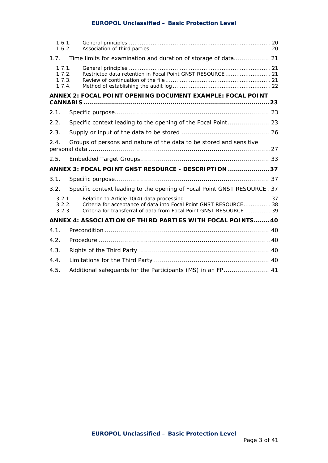## **EUROPOL Unclassified – Basic Protection Level**

| 1.6.1.<br>1.6.2.                     |                                                                                                                                          |  |
|--------------------------------------|------------------------------------------------------------------------------------------------------------------------------------------|--|
| 1.7.                                 | Time limits for examination and duration of storage of data 21                                                                           |  |
| 1.7.1.<br>1.7.2.<br>1.7.3.<br>1.7.4. | Restricted data retention in Focal Point GNST RESOURCE 21                                                                                |  |
|                                      | ANNEX 2: FOCAL POINT OPENING DOCUMENT EXAMPLE: FOCAL POINT                                                                               |  |
| 2.1.                                 |                                                                                                                                          |  |
| 2.2.                                 | Specific context leading to the opening of the Focal Point 23                                                                            |  |
| 2.3.                                 |                                                                                                                                          |  |
| 2.4.                                 | Groups of persons and nature of the data to be stored and sensitive                                                                      |  |
| 2.5.                                 |                                                                                                                                          |  |
|                                      | ANNEX 3: FOCAL POINT GNST RESOURCE - DESCRIPTION  37                                                                                     |  |
| 3.1.                                 |                                                                                                                                          |  |
| 3.2.                                 | Specific context leading to the opening of Focal Point GNST RESOURCE . 37                                                                |  |
| 3.2.1<br>3.2.2.<br>3.2.3.            | Criteria for acceptance of data into Focal Point GNST RESOURCE 38<br>Criteria for transferral of data from Focal Point GNST RESOURCE  39 |  |
|                                      | ANNEX 4: ASSOCIATION OF THIRD PARTIES WITH FOCAL POINTS 40                                                                               |  |
| 4.1.                                 |                                                                                                                                          |  |
| 4.2.                                 |                                                                                                                                          |  |
| 4.3.                                 |                                                                                                                                          |  |
| 4.4.                                 |                                                                                                                                          |  |
| 4.5.                                 | Additional safeguards for the Participants (MS) in an FP 41                                                                              |  |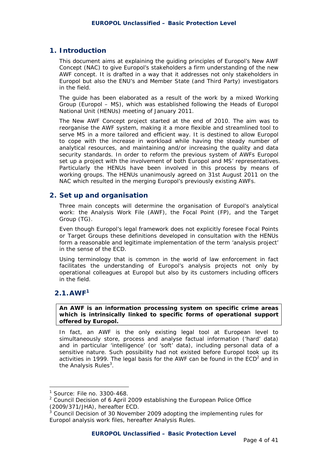## **1. Introduction**

This document aims at explaining the guiding principles of Europol's New AWF Concept (NAC) to give Europol's stakeholders a firm understanding of the new AWF concept. It is drafted in a way that it addresses not only stakeholders in Europol but also the ENU's and Member State (and Third Party) investigators in the field.

The guide has been elaborated as a result of the work by a mixed Working Group (Europol – MS), which was established following the Heads of Europol National Unit (HENUs) meeting of January 2011.

The New AWF Concept project started at the end of 2010. The aim was to reorganise the AWF system, making it a more flexible and streamlined tool to serve MS in a more tailored and efficient way. It is destined to allow Europol to cope with the increase in workload while having the steady number of analytical resources, and maintaining and/or increasing the quality and data security standards. In order to reform the previous system of AWFs Europol set up a project with the involvement of both Europol and MS' representatives. Particularly the HENUs have been involved in this process by means of working groups. The HENUs unanimously agreed on 31st August 2011 on the NAC which resulted in the merging Europol's previously existing AWFs.

## **2. Set up and organisation**

Three main concepts will determine the organisation of Europol's analytical work: the Analysis Work File (AWF), the Focal Point (FP), and the Target Group (TG).

Even though Europol's legal framework does not explicitly foresee Focal Points or Target Groups these definitions developed in consultation with the HENUs form a reasonable and legitimate implementation of the term 'analysis project' in the sense of the ECD.

Using terminology that is common in the world of law enforcement in fact facilitates the understanding of Europol's analysis projects not only by operational colleagues at Europol but also by its customers including officers in the field.

# **2.1.AWF<sup>1</sup>**

 $\overline{a}$ 

*An AWF is an information processing system on specific crime areas which is intrinsically linked to specific forms of operational support offered by Europol.* 

In fact, an AWF is the only existing legal tool at European level to simultaneously store, process and analyse factual information ('hard' data) and in particular 'intelligence' (or 'soft' data), including personal data of a sensitive nature. Such possibility had not existed before Europol took up its activities in 1999. The legal basis for the AWF can be found in the  $ECD<sup>2</sup>$  and in the Analysis Rules<sup>3</sup>.

<sup>1</sup> Source: File no. 3300-468.

 $2$  Council Decision of 6 April 2009 establishing the European Police Office (2009/371/JHA), hereafter *ECD*. 3

Council Decision of 30 November 2009 adopting the implementing rules for Europol analysis work files, hereafter *Analysis Rules*.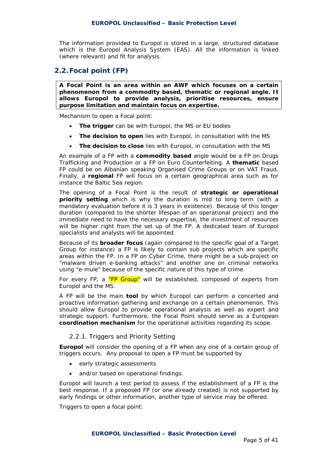The information provided to Europol is stored in a large, structured database which is the Europol Analysis System (EAS). All the information is linked (where relevant) and fit for analysis.

# **2.2.Focal point (FP)**

*A Focal Point is an area within an AWF which focuses on a certain phenomenon from a commodity based, thematic or regional angle. It allows Europol to provide analysis, prioritise resources, ensure purpose limitation and maintain focus on expertise.* 

Mechanism to open a Focal point:

- **The trigger** can be with Europol, the MS or EU bodies
- **The decision to open** lies with Europol, in consultation with the MS
- **The decision to close** lies with Europol, in consultation with the MS

An example of a FP with a **commodity based** angle would be a FP on Drugs Trafficking and Production or a FP on Euro Counterfeiting. A **thematic** based FP could be on Albanian speaking Organised Crime Groups or on VAT Fraud. Finally, a **regional** FP will focus on a certain geographical area such as for instance the Baltic Sea region.

The opening of a Focal Point is the result of **strategic or operational priority setting** which is why the duration is mid to long term (with a mandatory evaluation before it is 3 years in existence). Because of this longer duration (compared to the shorter lifespan of an operational project) and the immediate need to have the necessary expertise, the investment of resources will be higher right from the set up of the FP. A dedicated team of Europol specialists and analysts will be appointed.

Because of its **broader focus** (again compared to the specific goal of a Target Group for instance) a FP is likely to contain sub projects which are specific areas within the FP. In a FP on Cyber Crime, there might be a sub-project on "malware driven e-banking attacks" and another one on criminal networks using "e-mule" because of the specific nature of this type of crime.

For every FP, a "FP Group" will be established, composed of experts from Europol and the MS.

A FP will be the main **tool** by which Europol can perform a concerted and proactive information gathering and exchange on a certain phenomenon. This should allow Europol to provide operational analysis as well as expert and strategic support. Furthermore, the Focal Point should serve as a European **coordination mechanism** for the operational activities regarding its scope.

#### *2.2.1. Triggers and Priority Setting*

**Europol** will consider the opening of a FP when any one of a certain group of triggers occurs. Any proposal to open a FP must be supported by

- early strategic assessments
- and/or based on operational findings.

Europol will launch a test period to assess if the establishment of a FP is the best response. If a proposed FP (or one already created) is not supported by early findings or other information, another type of service may be offered.

Triggers to open a focal point: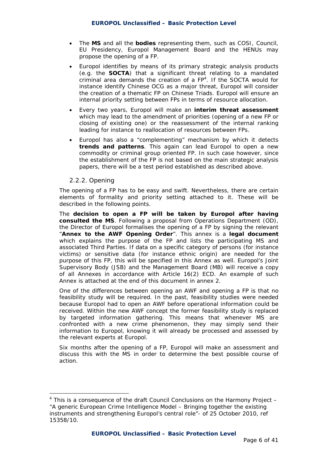- The **MS** and all the **bodies** representing them, such as COSI, Council, EU Presidency, Europol Management Board and the HENUs may propose the opening of a FP.
- Europol identifies by means of its primary strategic analysis products (e.g. the **SOCTA**) that a significant threat relating to a mandated criminal area demands the creation of a  $FP<sup>4</sup>$ . If the SOCTA would for instance identify Chinese OCG as a major threat, Europol will consider the creation of a thematic FP on Chinese Triads. Europol will ensure an internal priority setting between FPs in terms of resource allocation.
- Every two years, Europol will make an **interim threat assessment** which may lead to the amendment of priorities (opening of a new FP or closing of existing one) or the reassessment of the internal ranking leading for instance to reallocation of resources between FPs.
- Europol has also a "complementing" mechanism by which it detects **trends and patterns**. This again can lead Europol to open a new commodity or criminal group oriented FP. In such case however, since the establishment of the FP is not based on the main strategic analysis papers, there will be a test period established as described above.

#### *2.2.2. Opening*

 $\overline{a}$ 

The opening of a FP has to be easy and swift. Nevertheless, there are certain elements of formality and priority setting attached to it. These will be described in the following points.

The **decision to open a FP will be taken by Europol after having consulted the MS**. Following a proposal from Operations Department (OD), the Director of Europol formalises the opening of a FP by signing the relevant "**Annex to the AWF Opening Order**". This annex is a **legal document** which explains the purpose of the FP and lists the participating MS and associated Third Parties. If data on a specific category of persons (for instance victims) or sensitive data (for instance ethnic origin) are needed for the purpose of this FP, this will be specified in this Annex as well. Europol's Joint Supervisory Body (JSB) and the Management Board (MB) will receive a copy of all Annexes in accordance with Article 16(2) ECD. An example of such Annex is attached at the end of this document in *annex 2*.

One of the differences between opening an AWF and opening a FP is that no feasibility study will be required. In the past, feasibility studies were needed because Europol had to open an AWF before operational information could be received. Within the new AWF concept the former feasibility study is replaced by targeted information gathering. This means that whenever MS are confronted with a new crime phenomenon, they may simply send their information to Europol, knowing it will already be processed and assessed by the relevant experts at Europol.

Six months after the opening of a FP, Europol will make an assessment and discuss this with the MS in order to determine the best possible course of action.

 $4$  This is a consequence of the draft Council Conclusions on the Harmony Project  $-$ "A generic European Crime Intelligence Model – Bringing together the existing instruments and strengthening Europol's central role"- of 25 October 2010, ref 15358/10.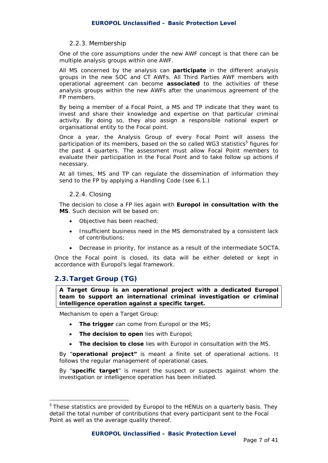#### *2.2.3. Membership*

One of the core assumptions under the new AWF concept is that there can be multiple analysis groups within one AWF.

All MS concerned by the analysis can **participate** in the different analysis groups in the new SOC and CT AWFs. All Third Parties AWF members with operational agreement can become **associated** to the activities of these analysis groups within the new AWFs after the unanimous agreement of the FP members.

By being a member of a Focal Point, a MS and TP indicate that they want to invest and share their knowledge and expertise on that particular criminal activity. By doing so, they also assign a responsible national expert or organisational entity to the Focal point.

Once a year, the Analysis Group of every Focal Point will assess the participation of its members, based on the so called WG3 statistics<sup>5</sup> figures for the past 4 quarters. The assessment must allow Focal Point members to evaluate their participation in the Focal Point and to take follow up actions if necessary.

At all times, MS and TP can regulate the dissemination of information they send to the FP by applying a Handling Code (see 6.1.)

#### *2.2.4. Closing*

The decision to close a FP lies again with **Europol in consultation with the MS**. Such decision will be based on:

- Objective has been reached;
- Insufficient business need in the MS demonstrated by a consistent lack of contributions;
- Decrease in priority, for instance as a result of the intermediate SOCTA.

Once the Focal point is closed, its data will be either deleted or kept in accordance with Europol's legal framework.

# **2.3.Target Group (TG)**

 $\overline{a}$ 

*A Target Group is an operational project with a dedicated Europol team to support an international criminal investigation or criminal intelligence operation against a specific target.* 

Mechanism to open a Target Group:

- **The trigger** can come from Europol or the MS;
- **The decision to open** lies with Europol;
- **The decision to close** lies with Europol in consultation with the MS.

By "**operational project"** is meant a finite set of operational actions. It follows the regular management of operational cases.

By "**specific target**" is meant the suspect or suspects against whom the investigation or intelligence operation has been initiated.

<sup>&</sup>lt;sup>5</sup> These statistics are provided by Europol to the HENUs on a quarterly basis. They detail the total number of contributions that every participant sent to the Focal Point as well as the average quality thereof.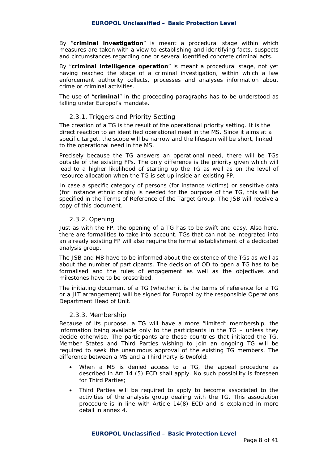By "**criminal investigation**" is meant a procedural stage within which measures are taken with a view to establishing and identifying facts, suspects and circumstances regarding one or several identified concrete criminal acts.

By "**criminal intelligence operation**" is meant a procedural stage, not yet having reached the stage of a criminal investigation, within which a law enforcement authority collects, processes and analyses information about crime or criminal activities.

The use of "**criminal**" in the proceeding paragraphs has to be understood as falling under Europol's mandate.

#### *2.3.1. Triggers and Priority Setting*

The creation of a TG is the result of the operational priority setting. It is the direct reaction to an identified operational need in the MS. Since it aims at a specific target, the scope will be narrow and the lifespan will be short, linked to the operational need in the MS.

Precisely because the TG answers an operational need, there will be TGs outside of the existing FPs. The only difference is the priority given which will lead to a higher likelihood of starting up the TG as well as on the level of resource allocation when the TG is set up inside an existing FP.

In case a specific category of persons (for instance victims) or sensitive data (for instance ethnic origin) is needed for the purpose of the TG, this will be specified in the Terms of Reference of the Target Group. The JSB will receive a copy of this document.

#### *2.3.2. Opening*

Just as with the FP, the opening of a TG has to be swift and easy. Also here, there are formalities to take into account. TGs that can not be integrated into an already existing FP will also require the formal establishment of a dedicated analysis group.

The JSB and MB have to be informed about the existence of the TGs as well as about the number of participants. The decision of OD to open a TG has to be formalised and the rules of engagement as well as the objectives and milestones have to be prescribed.

The initiating document of a TG (whether it is the terms of reference for a TG or a JIT arrangement) will be signed for Europol by the responsible Operations Department Head of Unit.

#### *2.3.3. Membership*

Because of its purpose, a TG will have a more "limited" membership, the information being available only to the participants in the TG – unless they decide otherwise. The participants are those countries that initiated the TG. Member States and Third Parties wishing to join an ongoing TG will be required to seek the unanimous approval of the existing TG members. The difference between a MS and a Third Party is twofold:

- When a MS is denied access to a TG, the appeal procedure as described in Art 14 (5) ECD shall apply. No such possibility is foreseen for Third Parties;
- Third Parties will be required to apply to become associated to the activities of the analysis group dealing with the TG. This association procedure is in line with Article 14(8) ECD and is explained in more detail in *annex 4.*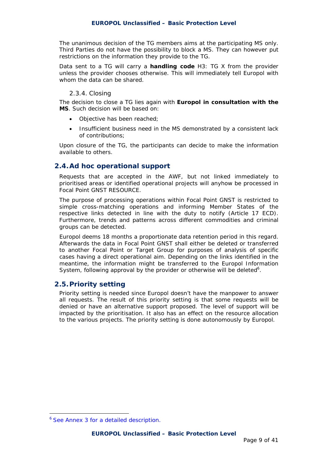The unanimous decision of the TG members aims at the participating MS only. Third Parties do not have the possibility to block a MS. They can however put restrictions on the information they provide to the TG.

Data sent to a TG will carry a **handling code** H3: TG X from the provider unless the provider chooses otherwise. This will immediately tell Europol with whom the data can be shared.

#### *2.3.4. Closing*

The decision to close a TG lies again with **Europol in consultation with the MS**. Such decision will be based on:

- Objective has been reached;
- Insufficient business need in the MS demonstrated by a consistent lack of contributions;

Upon closure of the TG, the participants can decide to make the information available to others.

## **2.4.Ad hoc operational support**

Requests that are accepted in the AWF, but not linked immediately to prioritised areas or identified operational projects will anyhow be processed in Focal Point GNST RESOURCE.

The purpose of processing operations within Focal Point GNST is restricted to simple cross-matching operations and informing Member States of the respective links detected in line with the duty to notify (Article 17 ECD). Furthermore, trends and patterns across different commodities and criminal groups can be detected.

Europol deems 18 months a proportionate data retention period in this regard. Afterwards the data in Focal Point GNST shall either be deleted or transferred to another Focal Point or Target Group for purposes of analysis of specific cases having a direct operational aim. Depending on the links identified in the meantime, the information might be transferred to the Europol Information System, following approval by the provider or otherwise will be deleted<sup>6</sup>.

# **2.5.Priority setting**

Priority setting is needed since Europol doesn't have the manpower to answer all requests. The result of this priority setting is that some requests will be denied or have an alternative support proposed. The level of support will be impacted by the prioritisation. It also has an effect on the resource allocation to the various projects. The priority setting is done autonomously by Europol.

 $\overline{a}$ 

<sup>6</sup> See Annex 3 for a detailed description.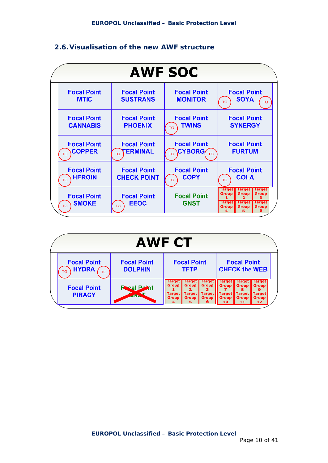# **2.6.Visualisation of the new AWF structure**



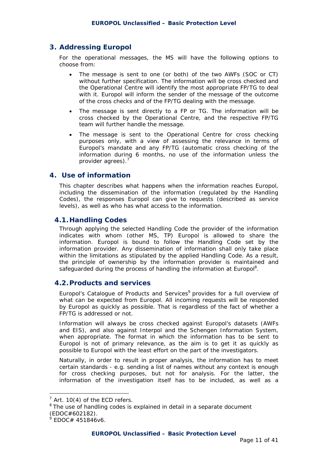# **3. Addressing Europol**

For the operational messages, the MS will have the following options to choose from:

- The message is sent to one (or both) of the two AWFs (SOC or CT) without further specification. The information will be cross checked and the Operational Centre will identify the most appropriate FP/TG to deal with it. Europol will inform the sender of the message of the outcome of the cross checks and of the FP/TG dealing with the message.
- The message is sent directly to a FP or TG. The information will be cross checked by the Operational Centre, and the respective FP/TG team will further handle the message.
- The message is sent to the Operational Centre for cross checking purposes only, with a view of assessing the relevance in terms of Europol's mandate and any FP/TG (automatic cross checking of the information during 6 months, no use of the information unless the provider agrees).<sup>7</sup>

#### **4. Use of information**

This chapter describes what happens when the information reaches Europol, including the dissemination of the information (regulated by the Handling Codes), the responses Europol can give to requests (described as service levels), as well as who has what access to the information.

## **4.1.Handling Codes**

Through applying the selected Handling Code the provider of the information indicates with whom (other MS, TP) Europol is allowed to share the information. Europol is bound to follow the Handling Code set by the information provider. Any dissemination of information shall only take place within the limitations as stipulated by the applied Handling Code. As a result, the principle of ownership by the information provider is maintained and safeguarded during the process of handling the information at Europol<sup>8</sup>.

#### **4.2.Products and services**

Europol's Catalogue of Products and Services<sup>9</sup> provides for a full overview of what can be expected from Europol. All incoming requests will be responded by Europol as quickly as possible. That is regardless of the fact of whether a FP/TG is addressed or not.

Information will always be cross checked against Europol's datasets (AWFs and EIS), and also against Interpol and the Schengen Information System, when appropriate. The format in which the information has to be sent to Europol is not of primary relevance, as the aim is to get it as quickly as possible to Europol with the least effort on the part of the investigators.

Naturally, in order to result in proper analysis, the information has to meet certain standards - e.g. sending a list of names without any context is enough for cross checking purposes, but not for analysis. For the latter, the information of the investigation itself has to be included, as well as a

 $\overline{a}$ 

 $7$  Art. 10(4) of the ECD refers.

 $8$  The use of handling codes is explained in detail in a separate document (EDOC#602182).

<sup>9</sup> EDOC# 451846v6.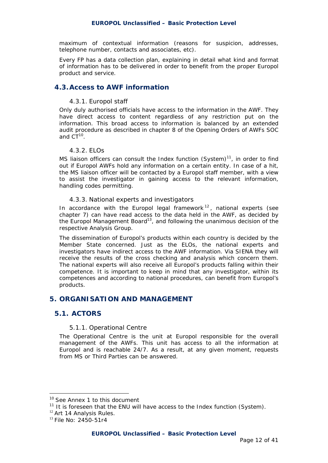maximum of contextual information (reasons for suspicion, addresses, telephone number, contacts and associates, etc).

Every FP has a data collection plan, explaining in detail what kind and format of information has to be delivered in order to benefit from the proper Europol product and service.

## **4.3.Access to AWF information**

#### *4.3.1. Europol staff*

Only duly authorised officials have access to the information in the AWF. They have direct access to content regardless of any restriction put on the information. This broad access to information is balanced by an extended audit procedure as described in chapter 8 of the Opening Orders of AWFs SOC and  $CT^{10}$ .

#### *4.3.2. ELOs*

MS liaison officers can consult the Index function (System) $<sup>11</sup>$ , in order to find</sup> out if Europol AWFs hold any information on a certain entity. In case of a hit, the MS liaison officer will be contacted by a Europol staff member, with a view to assist the investigator in gaining access to the relevant information, handling codes permitting.

#### *4.3.3. National experts and investigators*

In accordance with the Europol legal framework  $12$ , national experts (see chapter 7) can have read access to the data held in the AWF, as decided by the Europol Management Board<sup>13</sup>, and following the unanimous decision of the respective Analysis Group.

The dissemination of Europol's products within each country is decided by the Member State concerned. Just as the ELOs, the national experts and investigators have indirect access to the AWF information. Via SIENA they will receive the results of the cross checking and analysis which concern them. The national experts will also receive all Europol's products falling within their competence. It is important to keep in mind that any investigator, within its competences and according to national procedures, can benefit from Europol's products.

## **5. ORGANISATION AND MANAGEMENT**

#### **5.1. ACTORS**

#### *5.1.1. Operational Centre*

The Operational Centre is the unit at Europol responsible for the overall management of the AWFs. This unit has access to all the information at Europol and is reachable 24/7. As a result, at any given moment, requests from MS or Third Parties can be answered.

 $\overline{a}$ 

<sup>&</sup>lt;sup>10</sup> See Annex 1 to this document

 $11$  It is foreseen that the ENU will have access to the Index function (System).

<sup>&</sup>lt;sup>12</sup> Art 14 Analysis Rules.

<sup>13</sup> File No: 2450-51r4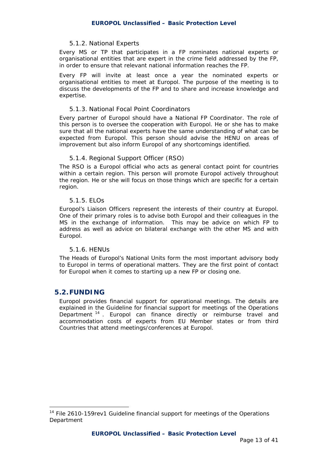#### *5.1.2. National Experts*

Every MS or TP that participates in a FP nominates national experts or organisational entities that are expert in the crime field addressed by the FP, in order to ensure that relevant national information reaches the FP.

Every FP will invite at least once a year the nominated experts or organisational entities to meet at Europol. The purpose of the meeting is to discuss the developments of the FP and to share and increase knowledge and expertise.

#### *5.1.3. National Focal Point Coordinators*

Every partner of Europol should have a National FP Coordinator. The role of this person is to oversee the cooperation with Europol. He or she has to make sure that all the national experts have the same understanding of what can be expected from Europol. This person should advise the HENU on areas of improvement but also inform Europol of any shortcomings identified.

#### *5.1.4. Regional Support Officer (RSO)*

The RSO is a Europol official who acts as general contact point for countries within a certain region. This person will promote Europol actively throughout the region. He or she will focus on those things which are specific for a certain region.

#### *5.1.5. ELOs*

Europol's Liaison Officers represent the interests of their country at Europol. One of their primary roles is to advise both Europol and their colleagues in the MS in the exchange of information. This may be advice on which FP to address as well as advice on bilateral exchange with the other MS and with Europol.

#### *5.1.6. HENUs*

The Heads of Europol's National Units form the most important advisory body to Europol in terms of operational matters. They are the first point of contact for Europol when it comes to starting up a new FP or closing one.

#### **5.2.FUNDING**

 $\overline{a}$ 

Europol provides financial support for operational meetings. The details are explained in the Guideline for financial support for meetings of the Operations Department <sup>14</sup> . Europol can finance directly or reimburse travel and accommodation costs of experts from EU Member states or from third Countries that attend meetings/conferences at Europol.

<sup>&</sup>lt;sup>14</sup> File 2610-159rev1 Guideline financial support for meetings of the Operations Department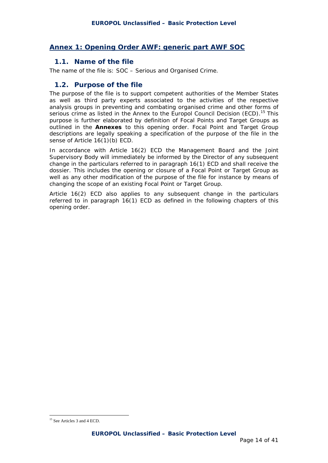# **Annex 1: Opening Order AWF: generic part AWF SOC**

#### **1.1. Name of the file**

The name of the file is: SOC – Serious and Organised Crime.

## **1.2. Purpose of the file**

The purpose of the file is to support competent authorities of the Member States as well as third party experts associated to the activities of the respective analysis groups in preventing and combating organised crime and other forms of serious crime as listed in the Annex to the Europol Council Decision (ECD).<sup>15</sup> This purpose is further elaborated by definition of Focal Points and Target Groups as outlined in the **Annexes** to this opening order. Focal Point and Target Group descriptions are legally speaking a specification of the purpose of the file in the sense of Article 16(1)(b) ECD.

In accordance with Article 16(2) ECD the Management Board and the Joint Supervisory Body will immediately be informed by the Director of any subsequent change in the particulars referred to in paragraph 16(1) ECD and shall receive the dossier. This includes the opening or closure of a Focal Point or Target Group as well as any other modification of the purpose of the file for instance by means of changing the scope of an existing Focal Point or Target Group.

Article 16(2) ECD also applies to any subsequent change in the particulars referred to in paragraph 16(1) ECD as defined in the following chapters of this opening order.

 $\overline{a}$ 15 See Articles 3 and 4 ECD.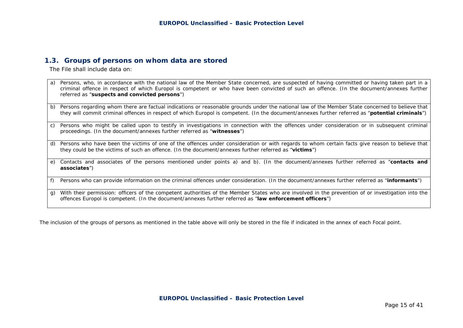#### **1.3. Groups of persons on whom data are stored**

The File shall include data on:

| a) | Persons, who, in accordance with the national law of the Member State concerned, are suspected of having committed or having taken part in a<br>criminal offence in respect of which Europol is competent or who have been convicted of such an offence. (In the document/annexes further<br>referred as "suspects and convicted persons") |
|----|--------------------------------------------------------------------------------------------------------------------------------------------------------------------------------------------------------------------------------------------------------------------------------------------------------------------------------------------|
| b) | Persons regarding whom there are factual indications or reasonable grounds under the national law of the Member State concerned to believe that<br>they will commit criminal offences in respect of which Europol is competent. (In the document/annexes further referred as "potential criminals")                                        |
| C) | Persons who might be called upon to testify in investigations in connection with the offences under consideration or in subsequent criminal<br>proceedings. (In the document/annexes further referred as "witnesses")                                                                                                                      |
| d) | Persons who have been the victims of one of the offences under consideration or with regards to whom certain facts give reason to believe that<br>they could be the victims of such an offence. (In the document/annexes further referred as "victims")                                                                                    |
| e) | Contacts and associates of the persons mentioned under points a) and b). (In the document/annexes further referred as "contacts and<br>associates")                                                                                                                                                                                        |
| f) | Persons who can provide information on the criminal offences under consideration. (In the document/annexes further referred as "informants")                                                                                                                                                                                               |
| g) | With their permission: officers of the competent authorities of the Member States who are involved in the prevention of or investigation into the<br>offences Europol is competent. (In the document/annexes further referred as "law enforcement officers")                                                                               |

The inclusion of the groups of persons as mentioned in the table above will only be stored in the file if indicated in the annex of each Focal point.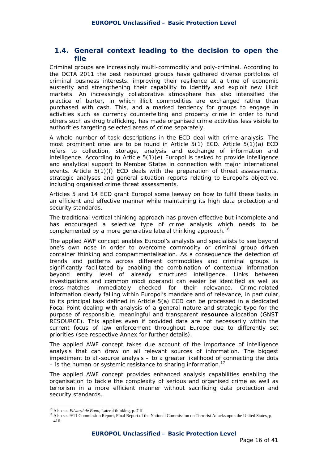# **1.4. General context leading to the decision to open the file**

Criminal groups are increasingly multi-commodity and poly-criminal. According to the OCTA 2011 the best resourced groups have gathered diverse portfolios of criminal business interests, improving their resilience at a time of economic austerity and strengthening their capability to identify and exploit new illicit markets. An increasingly collaborative atmosphere has also intensified the practice of barter, in which illicit commodities are exchanged rather than purchased with cash. This, and a marked tendency for groups to engage in activities such as currency counterfeiting and property crime in order to fund others such as drug trafficking, has made organised crime activities less visible to authorities targeting selected areas of crime separately.

A whole number of task descriptions in the ECD deal with crime analysis. The most prominent ones are to be found in Article 5(1) ECD. Article 5(1)(a) ECD refers to collection, storage, analysis and exchange of information and intelligence. According to Article 5(1)(e) Europol is tasked to provide intelligence and analytical support to Member States in connection with major international events. Article 5(1)(f) ECD deals with the preparation of threat assessments, strategic analyses and general situation reports relating to Europol's objective, including organised crime threat assessments.

Articles 5 and 14 ECD grant Europol some leeway on how to fulfil these tasks in an efficient and effective manner while maintaining its high data protection and security standards.

The traditional vertical thinking approach has proven effective but incomplete and has encouraged a selective type of crime analysis which needs to be complemented by a more generative lateral thinking approach.<sup>16</sup>

The applied AWF concept enables Europol's analysts and specialists to see beyond one's own nose in order to overcome commodity or criminal group driven container thinking and compartmentalisation. As a consequence the detection of trends and patterns across different commodities and criminal groups is significantly facilitated by enabling the combination of contextual information beyond entity level of already structured intelligence. Links between investigations and common modi operandi can easier be identified as well as cross-matches immediately checked for their relevance. Crime-related information clearly falling within Europol's mandate and of relevance, in particular, to its principal task defined in Article 5(a) ECD can be processed in a dedicated Focal Point dealing with analysis of a **g**eneral **n**ature and **s**trategic **t**ype for the purpose of responsible, meaningful and transparent **resource** allocation (GNST RESOURCE). This applies even if provided data are not necessarily within the current focus of law enforcement throughout Europe due to differently set priorities (see respective Annex for further details).

The applied AWF concept takes due account of the importance of intelligence analysis that can draw on all relevant sources of information. The biggest impediment to all-source analysis – to a greater likelihood of connecting the dots – is the human or systemic resistance to sharing information.<sup>17</sup>

The applied AWF concept provides enhanced analysis capabilities enabling the organisation to tackle the complexity of serious and organised crime as well as terrorism in a more efficient manner without sacrificing data protection and security standards.

<sup>&</sup>lt;sup>16</sup> Also see Edward de Bono, Lateral thinking, p. 7 ff.

<sup>&</sup>lt;sup>17</sup> Also see 9/11 Commission Report, Final Report of the National Commission on Terrorist Attacks upon the United States, p. 416.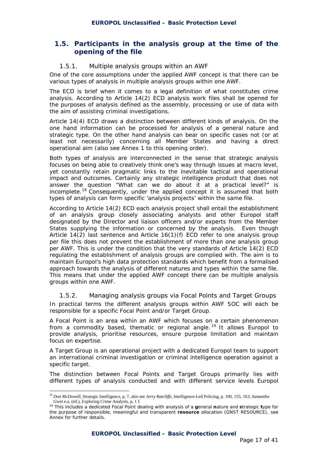# **1.5. Participants in the analysis group at the time of the opening of the file**

#### *1.5.1. Multiple analysis groups within an AWF*

One of the core assumptions under the applied AWF concept is that there can be various types of analysis in multiple analysis groups within one AWF.

The ECD is brief when it comes to a legal definition of what constitutes crime analysis. According to Article 14(2) ECD analysis work files shall be opened for the purposes of analysis defined as the assembly, processing or use of data with the aim of assisting criminal investigations.

Article 14(4) ECD draws a distinction between different kinds of analysis. On the one hand information can be processed for analysis of a general nature and strategic type. On the other hand analysis can bear on specific cases not (or at least not necessarily) concerning all Member States and having a direct operational aim (also see Annex 1 to this opening order).

Both types of analysis are interconnected in the sense that strategic analysis focuses on being able to creatively think one's way through issues at macro level, yet constantly retain pragmatic links to the inevitable tactical and operational impact and outcomes. Certainly any strategic intelligence product that does not answer the question "What can we do about it at a practical level?" is incomplete.18 Consequently, under the applied concept it is assumed that both types of analysis can form specific 'analysis projects' within the same file.

According to Article 14(2) ECD each analysis project shall entail the establishment of an analysis group closely associating analysts and other Europol staff designated by the Director and liaison officers and/or experts from the Member States supplying the information or concerned by the analysis. Even though Article 14(2) last sentence and Article 16(1)(f) ECD refer to one analysis group per file this does not prevent the establishment of more than one analysis group per AWF. This is under the condition that the very standards of Article 14(2) ECD regulating the establishment of analysis groups are complied with. The aim is to maintain Europol's high data protection standards which benefit from a formalised approach towards the analysis of different natures and types within the same file. This means that under the applied AWF concept there can be multiple analysis groups within one AWF.

*1.5.2. Managing analysis groups via Focal Points and Target Groups*  In practical terms the different analysis groups within AWF SOC will each be responsible for a specific Focal Point and/or Target Group.

A Focal Point is an area within an AWF which focuses on a certain phenomenon from a commodity based, thematic or regional angle.<sup>19</sup> It allows Europol to provide analysis, prioritise resources, ensure purpose limitation and maintain focus on expertise.

A Target Group is an operational project with a dedicated Europol team to support an international criminal investigation or criminal intelligence operation against a specific target.

The distinction between Focal Points and Target Groups primarily lies with different types of analysis conducted and with different service levels Europol

1

<sup>18</sup> *Don McDowell*, Strategic Intelligence, p. 7, also see *Jerry Ratcliffe*, Intelligence-Led Policing, p. 100, 155, 163; *Samantha Gwin* e.a. (ed.), Exploring Crime Analysis, p. 1 f.

<sup>19</sup> This includes a dedicated Focal Point dealing with analysis of a **g**eneral **n**ature and **s**trategic **t**ype for the purpose of responsible, meaningful and transparent **resource** allocation (GNST RESOURCE), see Annex for further details.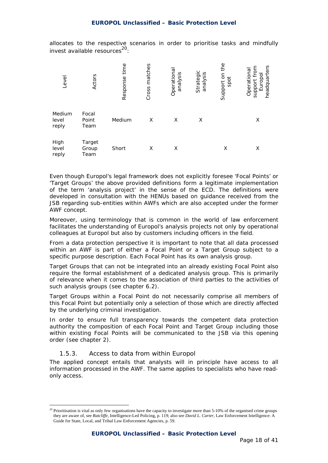allocates to the respective scenarios in order to prioritise tasks and mindfully invest available resources<sup>20</sup>:

| Level                    | Actors                  | time<br>Response | matches<br>Cross | Operationa<br>analysis | Strategic<br>sis<br>analys | Φ<br>ŧ<br>Support on<br>spot | headquarters<br>Operational<br>support fro<br>Europo |
|--------------------------|-------------------------|------------------|------------------|------------------------|----------------------------|------------------------------|------------------------------------------------------|
| Medium<br>level<br>reply | Focal<br>Point<br>Team  | Medium           | X                | X                      | X                          |                              | X                                                    |
| High<br>level<br>reply   | Target<br>Group<br>Team | Short            | X                | X                      |                            | X                            | X                                                    |

Even though Europol's legal framework does not explicitly foresee 'Focal Points' or 'Target Groups' the above provided definitions form a legitimate implementation of the term 'analysis project' in the sense of the ECD. The definitions were developed in consultation with the HENUs based on guidance received from the JSB regarding sub-entities within AWFs which are also accepted under the former AWF concept.

Moreover, using terminology that is common in the world of law enforcement facilitates the understanding of Europol's analysis projects not only by operational colleagues at Europol but also by customers including officers in the field.

From a data protection perspective it is important to note that all data processed within an AWF is part of either a Focal Point or a Target Group subject to a specific purpose description. Each Focal Point has its own analysis group.

Target Groups that can not be integrated into an already existing Focal Point also require the formal establishment of a dedicated analysis group. This is primarily of relevance when it comes to the association of third parties to the activities of such analysis groups (see chapter 6.2).

Target Groups within a Focal Point do not necessarily comprise all members of this Focal Point but potentially only a selection of those which are directly affected by the underlying criminal investigation.

In order to ensure full transparency towards the competent data protection authority the composition of each Focal Point and Target Group including those within existing Focal Points will be communicated to the JSB via this opening order (see chapter 2).

#### *1.5.3. Access to data from within Europol*

1

The applied concept entails that analysts will in principle have access to all information processed in the AWF. The same applies to specialists who have readonly access.

 $^{20}$  Prioritisation is vital as only few organisations have the capacity to investigate more than 5-10% of the organised crime groups they are aware of, see *Ratcliffe*, Intelligence-Led Policing, p. 119; also see *David L. Carter*, Law Enforcement Intelligence: A Guide for State, Local, and Tribal Law Enforcement Agencies, p. 59.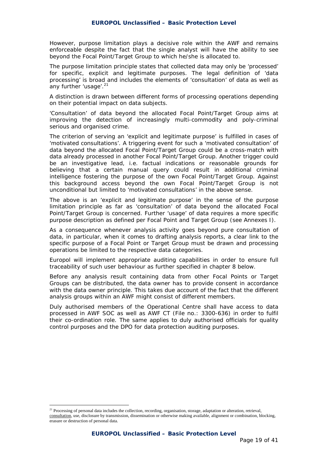However, purpose limitation plays a decisive role within the AWF and remains enforceable despite the fact that the single analyst will have the ability to see beyond the Focal Point/Target Group to which he/she is allocated to.

The purpose limitation principle states that collected data may only be 'processed' for specific, explicit and legitimate purposes. The legal definition of 'data processing' is broad and includes the elements of 'consultation' of data as well as any further 'usage'.<sup>21</sup>

A distinction is drawn between different forms of processing operations depending on their potential impact on data subjects.

'Consultation' of data beyond the allocated Focal Point/Target Group aims at improving the detection of increasingly multi-commodity and poly-criminal serious and organised crime.

The criterion of serving an 'explicit and legitimate purpose' is fulfilled in cases of 'motivated consultations'. A triggering event for such a 'motivated consultation' of data beyond the allocated Focal Point/Target Group could be a cross-match with data already processed in another Focal Point/Target Group. Another trigger could be an investigative lead, i.e. factual indications or reasonable grounds for believing that a certain manual query could result in additional criminal intelligence fostering the purpose of the own Focal Point/Target Group. Against this background access beyond the own Focal Point/Target Group is not unconditional but limited to 'motivated consultations' in the above sense.

The above is an 'explicit and legitimate purpose' in the sense of the purpose limitation principle as far as 'consultation' of data beyond the allocated Focal Point/Target Group is concerned. Further 'usage' of data requires a more specific purpose description as defined per Focal Point and Target Group (see Annexes I).

As a consequence whenever analysis activity goes beyond pure consultation of data, in particular, when it comes to drafting analysis reports, a clear link to the specific purpose of a Focal Point or Target Group must be drawn and processing operations be limited to the respective data categories.

Europol will implement appropriate auditing capabilities in order to ensure full traceability of such user behaviour as further specified in chapter 8 below.

Before any analysis result containing data from other Focal Points or Target Groups can be distributed, the data owner has to provide consent in accordance with the data owner principle. This takes due account of the fact that the different analysis groups within an AWF might consist of different members.

Duly authorised members of the Operational Centre shall have access to data processed in AWF SOC as well as AWF CT (File no.: 3300-636) in order to fulfil their co-ordination role. The same applies to duly authorised officials for quality control purposes and the DPO for data protection auditing purposes.

1

<sup>&</sup>lt;sup>21</sup> Processing of personal data includes the collection, recording, organisation, storage, adaptation or alteration, retrieval, consultation, use, disclosure by transmission, dissemination or otherwise making available, alignment or combination, blocking, erasure or destruction of personal data.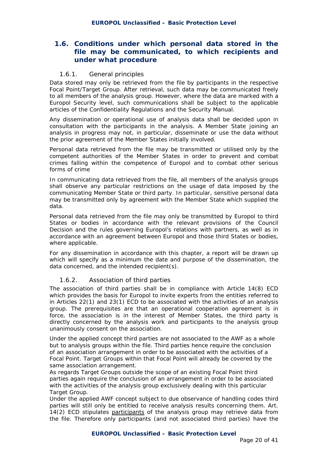# **1.6. Conditions under which personal data stored in the file may be communicated, to which recipients and under what procedure**

#### *1.6.1. General principles*

Data stored may only be retrieved from the file by participants in the respective Focal Point/Target Group. After retrieval, such data may be communicated freely to all members of the analysis group. However, where the data are marked with a Europol Security level, such communications shall be subject to the applicable articles of the Confidentiality Regulations and the Security Manual.

Any dissemination or operational use of analysis data shall be decided upon in consultation with the participants in the analysis. A Member State joining an analysis in progress may not, in particular, disseminate or use the data without the prior agreement of the Member States initially involved.

Personal data retrieved from the file may be transmitted or utilised only by the competent authorities of the Member States in order to prevent and combat crimes falling within the competence of Europol and to combat other serious forms of crime

In communicating data retrieved from the file, all members of the analysis groups shall observe any particular restrictions on the usage of data imposed by the communicating Member State or third party. In particular, sensitive personal data may be transmitted only by agreement with the Member State which supplied the data.

Personal data retrieved from the file may only be transmitted by Europol to third States or bodies in accordance with the relevant provisions of the Council Decision and the rules governing Europol's relations with partners, as well as in accordance with an agreement between Europol and those third States or bodies, where applicable.

For any dissemination in accordance with this chapter, a report will be drawn up which will specify as a minimum the date and purpose of the dissemination, the data concerned, and the intended recipient(s).

#### *1.6.2. Association of third parties*

The association of third parties shall be in compliance with Article 14(8) ECD which provides the basis for Europol to invite experts from the entities referred to in Articles 22(1) and 23(1) ECD to be associated with the activities of an analysis group. The prerequisites are that an operational cooperation agreement is in force, the association is in the interest of Member States, the third party is directly concerned by the analysis work and participants to the analysis group unanimously consent on the association.

Under the applied concept third parties are not associated to the AWF as a whole but to analysis groups within the file. Third parties hence require the conclusion of an association arrangement in order to be associated with the activities of a Focal Point. Target Groups within that Focal Point will already be covered by the same association arrangement.

As regards Target Groups outside the scope of an existing Focal Point third parties again require the conclusion of an arrangement in order to be associated with the activities of the analysis group exclusively dealing with this particular Target Group.

Under the applied AWF concept subject to due observance of handling codes third parties will still only be entitled to receive analysis results concerning them. Art. 14(2) ECD stipulates participants of the analysis group may retrieve data from the file. Therefore only participants (and not associated third parties) have the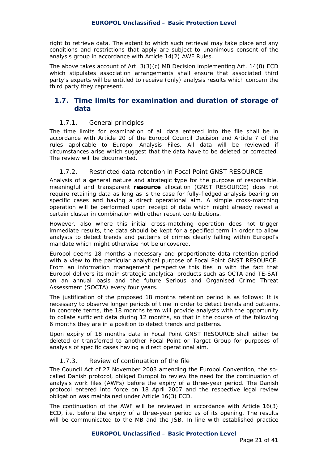right to retrieve data. The extent to which such retrieval may take place and any conditions and restrictions that apply are subject to unanimous consent of the analysis group in accordance with Article 14(2) AWF Rules.

The above takes account of Art. 3(3)(c) MB Decision implementing Art. 14(8) ECD which stipulates association arrangements shall ensure that associated third party's experts will be entitled to receive (only) analysis results which concern the third party they represent.

## **1.7. Time limits for examination and duration of storage of data**

#### *1.7.1. General principles*

The time limits for examination of all data entered into the file shall be in accordance with Article 20 of the Europol Council Decision and Article 7 of the rules applicable to Europol Analysis Files. All data will be reviewed if circumstances arise which suggest that the data have to be deleted or corrected. The review will be documented.

## *1.7.2. Restricted data retention in Focal Point GNST RESOURCE*

Analysis of a **g**eneral **n**ature and **s**trategic **t**ype for the purpose of responsible, meaningful and transparent **resource** allocation (GNST RESOURCE) does not require retaining data as long as is the case for fully-fledged analysis bearing on specific cases and having a direct operational aim. A simple cross-matching operation will be performed upon receipt of data which might already reveal a certain cluster in combination with other recent contributions.

However, also where this initial cross-matching operation does not trigger immediate results, the data should be kept for a specified term in order to allow analysts to detect trends and patterns of crimes clearly falling within Europol's mandate which might otherwise not be uncovered.

Europol deems 18 months a necessary and proportionate data retention period with a view to the particular analytical purpose of Focal Point GNST RESOURCE. From an information management perspective this ties in with the fact that Europol delivers its main strategic analytical products such as OCTA and TE-SAT on an annual basis and the future Serious and Organised Crime Threat Assessment (SOCTA) every four years.

The justification of the proposed 18 months retention period is as follows: It is necessary to observe longer periods of time in order to detect trends and patterns. In concrete terms, the 18 months term will provide analysts with the opportunity to collate sufficient data during 12 months, so that in the course of the following 6 months they are in a position to detect trends and patterns.

Upon expiry of 18 months data in Focal Point GNST RESOURCE shall either be deleted or transferred to another Focal Point or Target Group for purposes of analysis of specific cases having a direct operational aim.

#### *1.7.3. Review of continuation of the file*

The Council Act of 27 November 2003 amending the Europol Convention, the socalled Danish protocol, obliged Europol to review the need for the continuation of analysis work files (AWFs) before the expiry of a three-year period. The Danish protocol entered into force on 18 April 2007 and the respective legal review obligation was maintained under Article 16(3) ECD.

The continuation of the AWF will be reviewed in accordance with Article 16(3) ECD, i.e. before the expiry of a three-year period as of its opening. The results will be communicated to the MB and the JSB. In line with established practice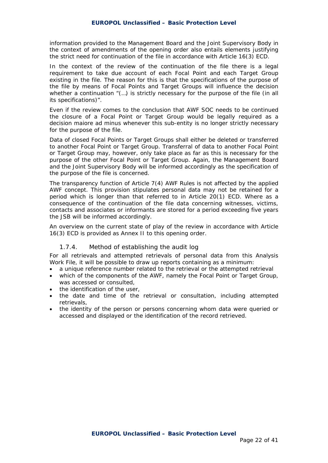information provided to the Management Board and the Joint Supervisory Body in the context of amendments of the opening order also entails elements justifying the strict need for continuation of the file in accordance with Article 16(3) ECD.

In the context of the review of the continuation of the file there is a legal requirement to take due account of each Focal Point and each Target Group existing in the file. The reason for this is that the specifications of the purpose of the file by means of Focal Points and Target Groups will influence the decision whether a continuation "(...) is strictly necessary for the purpose of the file (in all its specifications)".

Even if the review comes to the conclusion that AWF SOC needs to be continued the closure of a Focal Point or Target Group would be legally required as a decision maiore ad minus whenever this sub-entity is no longer strictly necessary for the purpose of the file.

Data of closed Focal Points or Target Groups shall either be deleted or transferred to another Focal Point or Target Group. Transferral of data to another Focal Point or Target Group may, however, only take place as far as this is necessary for the purpose of the other Focal Point or Target Group. Again, the Management Board and the Joint Supervisory Body will be informed accordingly as the specification of the purpose of the file is concerned.

The transparency function of Article 7(4) AWF Rules is not affected by the applied AWF concept. This provision stipulates personal data may not be retained for a period which is longer than that referred to in Article 20(1) ECD. Where as a consequence of the continuation of the file data concerning witnesses, victims, contacts and associates or informants are stored for a period exceeding five years the JSB will be informed accordingly.

An overview on the current state of play of the review in accordance with Article 16(3) ECD is provided as Annex II to this opening order.

#### *1.7.4. Method of establishing the audit log*

For all retrievals and attempted retrievals of personal data from this Analysis Work File, it will be possible to draw up reports containing as a minimum:

- a unique reference number related to the retrieval or the attempted retrieval
- which of the components of the AWF, namely the Focal Point or Target Group, was accessed or consulted,
- the identification of the user.
- the date and time of the retrieval or consultation, including attempted retrievals,
- the identity of the person or persons concerning whom data were queried or accessed and displayed or the identification of the record retrieved.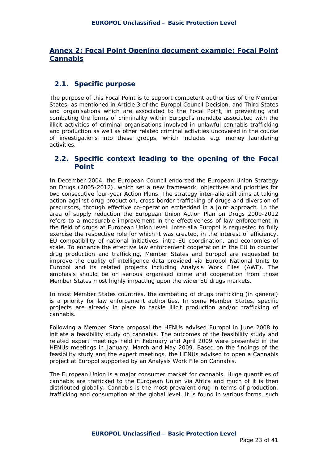# **Annex 2: Focal Point Opening document example: Focal Point Cannabis**

# **2.1. Specific purpose**

The purpose of this Focal Point is to support competent authorities of the Member States, as mentioned in Article 3 of the Europol Council Decision, and Third States and organisations which are associated to the Focal Point, in preventing and combating the forms of criminality within Europol's mandate associated with the illicit activities of criminal organisations involved in unlawful cannabis trafficking and production as well as other related criminal activities uncovered in the course of investigations into these groups, which includes e.g. money laundering activities.

## **2.2. Specific context leading to the opening of the Focal Point**

In December 2004, the European Council endorsed the European Union Strategy on Drugs (2005-2012), which set a new framework, objectives and priorities for two consecutive four-year Action Plans. The strategy inter-alia still aims at taking action against drug production, cross border trafficking of drugs and diversion of precursors, through effective co-operation embedded in a joint approach. In the area of supply reduction the European Union Action Plan on Drugs 2009-2012 refers to a measurable improvement in the effectiveness of law enforcement in the field of drugs at European Union level. Inter-alia Europol is requested to fully exercise the respective role for which it was created, in the interest of efficiency, EU compatibility of national initiatives, intra-EU coordination, and economies of scale. To enhance the effective law enforcement cooperation in the EU to counter drug production and trafficking, Member States and Europol are requested to improve the quality of intelligence data provided via Europol National Units to Europol and its related projects including Analysis Work Files (AWF). The emphasis should be on serious organised crime and cooperation from those Member States most highly impacting upon the wider EU drugs markets.

In most Member States countries, the combating of drugs trafficking (in general) is a priority for law enforcement authorities. In some Member States, specific projects are already in place to tackle illicit production and/or trafficking of cannabis.

Following a Member State proposal the HENUs advised Europol in June 2008 to initiate a feasibility study on cannabis. The outcomes of the feasibility study and related expert meetings held in February and April 2009 were presented in the HENUs meetings in January, March and May 2009. Based on the findings of the feasibility study and the expert meetings, the HENUs advised to open a Cannabis project at Europol supported by an Analysis Work File on Cannabis.

The European Union is a major consumer market for cannabis. Huge quantities of cannabis are trafficked to the European Union via Africa and much of it is then distributed globally. Cannabis is the most prevalent drug in terms of production, trafficking and consumption at the global level. It is found in various forms, such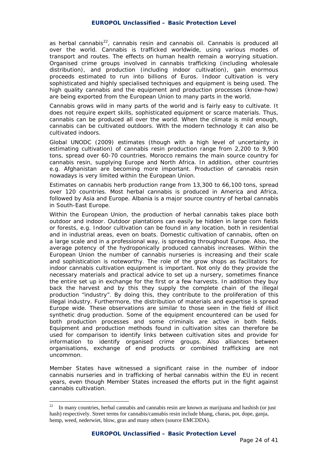as herbal cannabis $^{22}$ , cannabis resin and cannabis oil. Cannabis is produced all over the world. Cannabis is trafficked worldwide, using various modes of transport and routes. The effects on human health remain a worrying situation. Organised crime groups involved in cannabis trafficking (including wholesale distribution), and production (including indoor cultivation), gain enormous proceeds estimated to run into billions of Euros. Indoor cultivation is very sophisticated and highly specialised techniques and equipment is being used. The high quality cannabis and the equipment and production processes (know-how) are being exported from the European Union to many parts in the world.

Cannabis grows wild in many parts of the world and is fairly easy to cultivate. It does not require expert skills, sophisticated equipment or scarce materials. Thus, cannabis can be produced all over the world. When the climate is mild enough, cannabis can be cultivated outdoors. With the modern technology it can also be cultivated indoors.

Global UNODC (2009) estimates (though with a high level of uncertainty in estimating cultivation) of cannabis resin production range from 2,200 to 9,900 tons, spread over 60-70 countries. Morocco remains the main source country for cannabis resin, supplying Europe and North Africa. In addition, other countries e.g. Afghanistan are becoming more important. Production of cannabis resin nowadays is very limited within the European Union.

Estimates on cannabis herb production range from 13,300 to 66,100 tons, spread over 120 countries. Most herbal cannabis is produced in America and Africa, followed by Asia and Europe. Albania is a major source country of herbal cannabis in South-East Europe.

Within the European Union, the production of herbal cannabis takes place both outdoor and indoor. Outdoor plantations can easily be hidden in large corn fields or forests, e.g. Indoor cultivation can be found in any location, both in residential and in industrial areas, even on boats. Domestic cultivation of cannabis, often on a large scale and in a professional way, is spreading throughout Europe. Also, the average potency of the hydroponically produced cannabis increases. Within the European Union the number of cannabis nurseries is increasing and their scale and sophistication is noteworthy. The role of the grow shops as facilitators for indoor cannabis cultivation equipment is important. Not only do they provide the necessary materials and practical advice to set up a nursery, sometimes finance the entire set up in exchange for the first or a few harvests. In addition they buy back the harvest and by this they supply the complete chain of the illegal production "industry". By doing this, they contribute to the proliferation of this illegal industry. Furthermore, the distribution of materials and expertise is spread Europe wide. These observations are similar to those seen in the field of illicit synthetic drug production. Some of the equipment encountered can be used for both production processes and some criminals are active in both fields. Equipment and production methods found in cultivation sites can therefore be used for comparison to identify links between cultivation sites and provide for information to identify organised crime groups. Also alliances between organisations, exchange of end products or combined trafficking are not uncommon.

Member States have witnessed a significant raise in the number of indoor cannabis nurseries and in trafficking of herbal cannabis within the EU in recent years, even though Member States increased the efforts put in the fight against cannabis cultivation.

1

 $22$  In many countries, herbal cannabis and cannabis resin are known as marijuana and hashish (or just hash) respectively. Street terms for cannabis/cannabis resin include bhang, charas, pot, dope, ganja, hemp, weed, nederwiet, blow, gras and many others (source EMCDDA).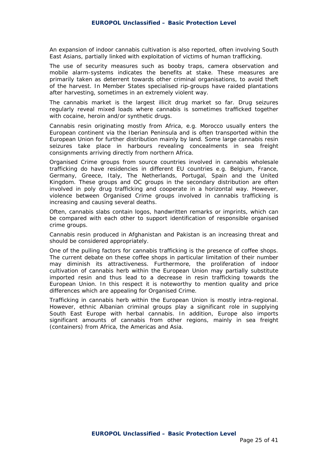An expansion of indoor cannabis cultivation is also reported, often involving South East Asians, partially linked with exploitation of victims of human trafficking.

The use of security measures such as booby traps, camera observation and mobile alarm-systems indicates the benefits at stake. These measures are primarily taken as deterrent towards other criminal organisations, to avoid theft of the harvest. In Member States specialised rip-groups have raided plantations after harvesting, sometimes in an extremely violent way.

The cannabis market is the largest illicit drug market so far. Drug seizures regularly reveal mixed loads where cannabis is sometimes trafficked together with cocaine, heroin and/or synthetic drugs.

Cannabis resin originating mostly from Africa, e.g. Morocco usually enters the European continent via the Iberian Peninsula and is often transported within the European Union for further distribution mainly by land. Some large cannabis resin seizures take place in harbours revealing concealments in sea freight consignments arriving directly from northern Africa.

Organised Crime groups from source countries involved in cannabis wholesale trafficking do have residencies in different EU countries e.g. Belgium, France, Germany, Greece, Italy, The Netherlands, Portugal, Spain and the United Kingdom. These groups and OC groups in the secondary distribution are often involved in poly drug trafficking and cooperate in a horizontal way. However, violence between Organised Crime groups involved in cannabis trafficking is increasing and causing several deaths.

Often, cannabis slabs contain logos, handwritten remarks or imprints, which can be compared with each other to support identification of responsible organised crime groups.

Cannabis resin produced in Afghanistan and Pakistan is an increasing threat and should be considered appropriately.

One of the pulling factors for cannabis trafficking is the presence of coffee shops. The current debate on these coffee shops in particular limitation of their number may diminish its attractiveness. Furthermore, the proliferation of indoor cultivation of cannabis herb within the European Union may partially substitute imported resin and thus lead to a decrease in resin trafficking towards the European Union. In this respect it is noteworthy to mention quality and price differences which are appealing for Organised Crime.

Trafficking in cannabis herb within the European Union is mostly intra-regional. However, ethnic Albanian criminal groups play a significant role in supplying South East Europe with herbal cannabis. In addition, Europe also imports significant amounts of cannabis from other regions, mainly in sea freight (containers) from Africa, the Americas and Asia.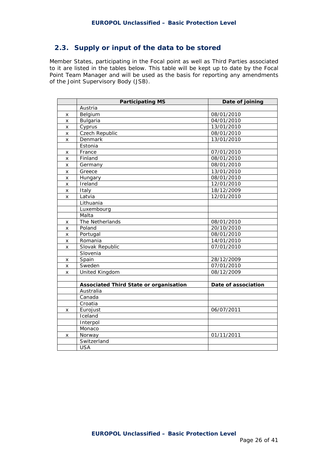# **2.3. Supply or input of the data to be stored**

Member States, participating in the Focal point as well as Third Parties associated to it are listed in the tables below. This table will be kept up to date by the Focal Point Team Manager and will be used as the basis for reporting any amendments of the Joint Supervisory Body (JSB).

|                    | <b>Participating MS</b>                       | Date of joining     |
|--------------------|-----------------------------------------------|---------------------|
|                    | Austria                                       |                     |
| X                  | Belgium                                       | 08/01/2010          |
| X                  | <b>Bulgaria</b>                               | 04/01/2010          |
| x                  | Cyprus                                        | 13/01/2010          |
| $\pmb{\times}$     | Czech Republic                                | 08/01/2010          |
| $\pmb{\times}$     | Denmark                                       | 13/01/2010          |
|                    | Estonia                                       |                     |
| x                  | France                                        | 07/01/2010          |
| X                  | Finland                                       | 08/01/2010          |
| x                  | Germany                                       | 08/01/2010          |
| $\pmb{\times}$     | Greece                                        | 13/01/2010          |
| x                  | Hungary                                       | 08/01/2010          |
| $\pmb{\mathsf{X}}$ | Ireland                                       | 12/01/2010          |
| X                  | Italy                                         | 18/12/2009          |
| $\pmb{\mathsf{X}}$ | Latvia                                        | 12/01/2010          |
|                    | Lithuania                                     |                     |
|                    | Luxembourg                                    |                     |
|                    | Malta                                         |                     |
| x                  | The Netherlands                               | 08/01/2010          |
| X                  | Poland                                        | 20/10/2010          |
| x                  | Portugal                                      | 08/01/2010          |
| X                  | Romania                                       | 14/01/2010          |
| $\mathsf{x}$       | Slovak Republic                               | 07/01/2010          |
|                    | Slovenia                                      |                     |
| x                  | Spain                                         | 28/12/2009          |
| $\pmb{\times}$     | Sweden                                        | 07/01/2010          |
| $\pmb{\mathsf{X}}$ | United Kingdom                                | 08/12/2009          |
|                    |                                               |                     |
|                    | <b>Associated Third State or organisation</b> | Date of association |
|                    | Australia                                     |                     |
|                    | Canada                                        |                     |
|                    | Croatia                                       |                     |
| x                  | Eurojust                                      | 06/07/2011          |
|                    | Iceland                                       |                     |
|                    | Interpol                                      |                     |
|                    | Monaco                                        |                     |
| x                  | Norway                                        | 01/11/2011          |
|                    | Switzerland                                   |                     |
|                    | <b>USA</b>                                    |                     |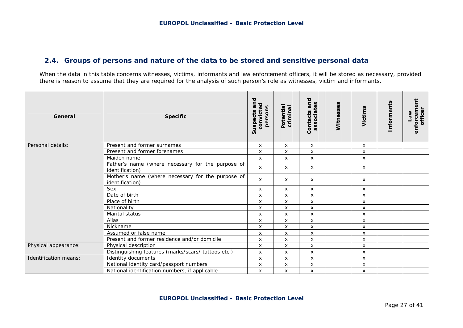# **2.4. Groups of persons and nature of the data to be stored and sensitive personal data**

When the data in this table concerns witnesses, victims, informants and law enforcement officers, it will be stored as necessary, provided there is reason to assume that they are required for the analysis of such person's role as witnesses, victim and informants.

| General                      | <b>Specific</b>                                                      | Suspects and<br>convicted<br>persons | Potential<br>criminal | and<br>associates<br>Contacts | Witnesses | Victims            | Informants | enforcement<br>officer<br><b>Law</b> |
|------------------------------|----------------------------------------------------------------------|--------------------------------------|-----------------------|-------------------------------|-----------|--------------------|------------|--------------------------------------|
| Personal details:            | Present and former surnames                                          | X                                    | X                     | X                             |           | $\mathsf{x}$       |            |                                      |
|                              | Present and former forenames                                         | $\pmb{\times}$                       | $\pmb{\times}$        | $\mathsf{x}$                  |           | $\mathsf{x}$       |            |                                      |
|                              | Maiden name                                                          | X                                    | $\pmb{\times}$        | X                             |           | X                  |            |                                      |
|                              | Father's name (where necessary for the purpose of<br>identification) | X                                    | X                     | X                             |           | X                  |            |                                      |
|                              | Mother's name (where necessary for the purpose of<br>identification) | X                                    | X                     | X                             |           | X                  |            |                                      |
|                              | Sex                                                                  | $\pmb{\times}$                       | $\pmb{\times}$        | X                             |           | X                  |            |                                      |
|                              | Date of birth                                                        | X                                    | $\pmb{\times}$        | X                             |           | $\pmb{\mathsf{X}}$ |            |                                      |
|                              | Place of birth                                                       | $\pmb{\times}$                       | X                     | X                             |           | $\mathsf{x}$       |            |                                      |
|                              | Nationality                                                          | $\pmb{\times}$                       | $\pmb{\times}$        | X                             |           | $\pmb{\mathsf{X}}$ |            |                                      |
|                              | Marital status                                                       | X                                    | X                     | X                             |           | $\pmb{\mathsf{X}}$ |            |                                      |
|                              | Alias                                                                | $\boldsymbol{\mathsf{x}}$            | $\pmb{\times}$        | X                             |           | $\pmb{\mathsf{X}}$ |            |                                      |
|                              | Nickname                                                             | X                                    | X                     | X                             |           | X                  |            |                                      |
|                              | Assumed or false name                                                | X                                    | X                     | X                             |           | X                  |            |                                      |
|                              | Present and former residence and/or domicile                         | X                                    | X                     | X                             |           | X                  |            |                                      |
| Physical appearance:         | Physical description                                                 | X                                    | X                     | X                             |           | X                  |            |                                      |
|                              | Distinguishing features (marks/scars/ tattoos etc.)                  | X                                    | X                     | X                             |           | X                  |            |                                      |
| <b>Identification means:</b> | Identity documents                                                   | $\pmb{\times}$                       | X                     | X                             |           | $\pmb{\mathsf{X}}$ |            |                                      |
|                              | National identity card/passport numbers                              | $\pmb{\times}$                       | X                     | X                             |           | $\mathsf{x}$       |            |                                      |
|                              | National identification numbers, if applicable                       | X                                    | X                     | X                             |           | X                  |            |                                      |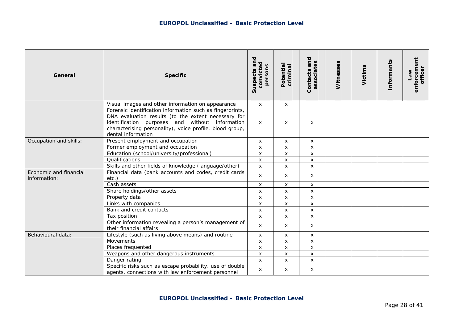| General                                | <b>Specific</b>                                                                                                                                                                                                                                       | Suspects and<br>convicted<br>persons | Potential<br>criminal     | Contacts and<br>associates | Witnesses | Victims | Informants | enforcement<br>officer<br>Mel |
|----------------------------------------|-------------------------------------------------------------------------------------------------------------------------------------------------------------------------------------------------------------------------------------------------------|--------------------------------------|---------------------------|----------------------------|-----------|---------|------------|-------------------------------|
|                                        | Visual images and other information on appearance                                                                                                                                                                                                     | $\boldsymbol{\mathsf{x}}$            | X                         |                            |           |         |            |                               |
|                                        | Forensic identification information such as fingerprints,<br>DNA evaluation results (to the extent necessary for<br>identification purposes and without information<br>characterising personality), voice profile, blood group,<br>dental information | $\mathsf{x}$                         | X                         | X                          |           |         |            |                               |
| Occupation and skills:                 | Present employment and occupation                                                                                                                                                                                                                     | $\boldsymbol{\mathsf{x}}$            | X                         | X                          |           |         |            |                               |
|                                        | Former employment and occupation                                                                                                                                                                                                                      | $\pmb{\times}$                       | X                         | X                          |           |         |            |                               |
|                                        | Education (school/university/professional)                                                                                                                                                                                                            | $\mathsf{x}$                         | $\pmb{\mathsf{X}}$        | X                          |           |         |            |                               |
|                                        | Qualifications                                                                                                                                                                                                                                        | $\boldsymbol{\mathsf{x}}$            | $\boldsymbol{\mathsf{X}}$ | X                          |           |         |            |                               |
|                                        | Skills and other fields of knowledge (language/other)                                                                                                                                                                                                 | $\pmb{\times}$                       | $\mathsf{x}$              | X                          |           |         |            |                               |
| Economic and financial<br>information: | Financial data (bank accounts and codes, credit cards<br>$etc.$ )                                                                                                                                                                                     | $\mathsf{x}$                         | $\boldsymbol{\mathsf{x}}$ | X                          |           |         |            |                               |
|                                        | Cash assets                                                                                                                                                                                                                                           | $\mathsf{x}$                         | $\mathsf{x}$              | $\mathsf{x}$               |           |         |            |                               |
|                                        | Share holdings/other assets                                                                                                                                                                                                                           | $\pmb{\times}$                       | $\mathsf{x}$              | X                          |           |         |            |                               |
|                                        | Property data                                                                                                                                                                                                                                         | $\pmb{\times}$                       | $\pmb{\mathsf{X}}$        | $\mathsf{x}$               |           |         |            |                               |
|                                        | Links with companies                                                                                                                                                                                                                                  | $\pmb{\times}$                       | $\boldsymbol{\mathsf{x}}$ | X                          |           |         |            |                               |
|                                        | Bank and credit contacts                                                                                                                                                                                                                              | $\boldsymbol{\mathsf{x}}$            | x                         | X                          |           |         |            |                               |
|                                        | Tax position                                                                                                                                                                                                                                          | $\boldsymbol{\mathsf{x}}$            | $\mathsf{x}$              | X                          |           |         |            |                               |
|                                        | Other information revealing a person's management of<br>their financial affairs                                                                                                                                                                       | $\mathsf{x}$                         | X                         | $\times$                   |           |         |            |                               |
| Behavioural data:                      | Lifestyle (such as living above means) and routine                                                                                                                                                                                                    | $\boldsymbol{\mathsf{x}}$            | X                         | X                          |           |         |            |                               |
|                                        | Movements                                                                                                                                                                                                                                             | $\boldsymbol{\mathsf{x}}$            | X                         | X                          |           |         |            |                               |
|                                        | Places frequented                                                                                                                                                                                                                                     | $\pmb{\times}$                       | X                         | X                          |           |         |            |                               |
|                                        | Weapons and other dangerous instruments                                                                                                                                                                                                               | $\pmb{\times}$                       | X                         | $\times$                   |           |         |            |                               |
|                                        | Danger rating                                                                                                                                                                                                                                         | $\boldsymbol{\mathsf{x}}$            | X                         | X                          |           |         |            |                               |
|                                        | Specific risks such as escape probability, use of double<br>agents, connections with law enforcement personnel                                                                                                                                        | $\mathsf{x}$                         | $\mathsf{x}$              | X                          |           |         |            |                               |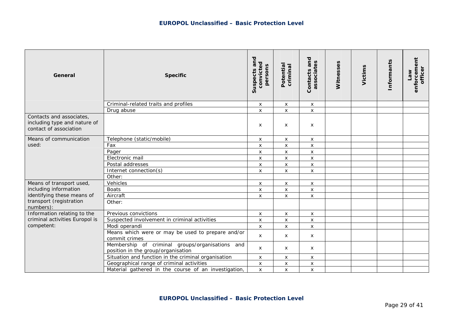| General                                                                            | <b>Specific</b>                                                                       | Suspects and<br>convicted<br>persons | Potential<br>criminal     | and<br>S<br>associate<br>Contacts | Witnesses | Victims | Informants | enforcement<br>officer<br><b>Law</b> |
|------------------------------------------------------------------------------------|---------------------------------------------------------------------------------------|--------------------------------------|---------------------------|-----------------------------------|-----------|---------|------------|--------------------------------------|
|                                                                                    | Criminal-related traits and profiles                                                  | $\boldsymbol{\mathsf{x}}$            | $\boldsymbol{\mathsf{x}}$ | X                                 |           |         |            |                                      |
|                                                                                    | Drug abuse                                                                            | X                                    | $\boldsymbol{\mathsf{x}}$ | $\pmb{\times}$                    |           |         |            |                                      |
| Contacts and associates,<br>including type and nature of<br>contact of association |                                                                                       | $\pmb{\times}$                       | X                         | X                                 |           |         |            |                                      |
| Means of communication                                                             | Telephone (static/mobile)                                                             | $\boldsymbol{\mathsf{x}}$            | X                         | X                                 |           |         |            |                                      |
| used:                                                                              | Fax                                                                                   | $\pmb{\times}$                       | $\pmb{\mathsf{X}}$        | X                                 |           |         |            |                                      |
|                                                                                    | Pager                                                                                 | X                                    | X                         | X                                 |           |         |            |                                      |
|                                                                                    | Electronic mail                                                                       | $\pmb{\times}$                       | $\pmb{\mathsf{X}}$        | X                                 |           |         |            |                                      |
|                                                                                    | Postal addresses                                                                      | $\pmb{\times}$                       | $\mathsf{x}$              | $\pmb{\times}$                    |           |         |            |                                      |
|                                                                                    | Internet connection(s)                                                                | X                                    | $\mathsf{x}$              | X                                 |           |         |            |                                      |
|                                                                                    | Other:                                                                                |                                      |                           |                                   |           |         |            |                                      |
| Means of transport used,                                                           | Vehicles                                                                              | X                                    | $\boldsymbol{\mathsf{x}}$ | X                                 |           |         |            |                                      |
| including information                                                              | <b>Boats</b>                                                                          | $\pmb{\times}$                       | $\mathsf{x}$              | $\mathsf{x}$                      |           |         |            |                                      |
| identifying these means of                                                         | Aircraft                                                                              | $\pmb{\times}$                       | $\mathsf{x}$              | X                                 |           |         |            |                                      |
| transport (registration<br>numbers):                                               | Other:                                                                                |                                      |                           |                                   |           |         |            |                                      |
| Information relating to the                                                        | Previous convictions                                                                  | $\pmb{\times}$                       | $\pmb{\times}$            | X                                 |           |         |            |                                      |
| criminal activities Europol is                                                     | Suspected involvement in criminal activities                                          | $\pmb{\times}$                       | $\boldsymbol{\mathsf{x}}$ | X                                 |           |         |            |                                      |
| competent:                                                                         | Modi operandi                                                                         | $\pmb{\times}$                       | $\pmb{\times}$            | $\mathsf{x}$                      |           |         |            |                                      |
|                                                                                    | Means which were or may be used to prepare and/or<br>commit crimes                    | $\boldsymbol{\mathsf{x}}$            | X                         | x                                 |           |         |            |                                      |
|                                                                                    | Membership of criminal groups/organisations and<br>position in the group/organisation | $\mathsf{x}$                         | x                         | x                                 |           |         |            |                                      |
|                                                                                    | Situation and function in the criminal organisation                                   | X                                    | X                         | X                                 |           |         |            |                                      |
|                                                                                    | Geographical range of criminal activities                                             | $\pmb{\times}$                       | $\pmb{\times}$            | X                                 |           |         |            |                                      |
|                                                                                    | Material gathered in the course of an investigation,                                  | $\boldsymbol{\mathsf{x}}$            | X                         | $\pmb{\times}$                    |           |         |            |                                      |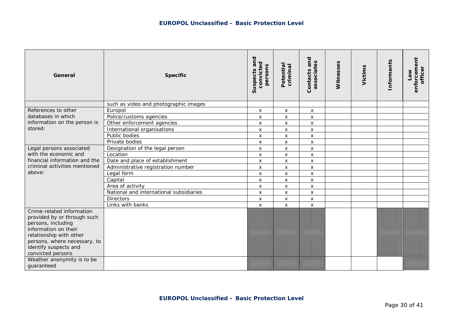| General                                                                                                                                                                                                         | <b>Specific</b>                         | Suspects and<br>convicted<br>persons | Potential<br>criminal     | and<br>Contacts and<br>associates | Witnesses | Victims | <b>Informants</b> | enforcement<br>officer<br>Me |
|-----------------------------------------------------------------------------------------------------------------------------------------------------------------------------------------------------------------|-----------------------------------------|--------------------------------------|---------------------------|-----------------------------------|-----------|---------|-------------------|------------------------------|
|                                                                                                                                                                                                                 | such as video and photographic images   |                                      |                           |                                   |           |         |                   |                              |
| References to other                                                                                                                                                                                             | Europol                                 | X                                    | $\boldsymbol{\mathsf{x}}$ | $\mathsf{x}$                      |           |         |                   |                              |
| databases in which                                                                                                                                                                                              | Police/customs agencies                 | $\boldsymbol{\mathsf{x}}$            | X                         | $\boldsymbol{\mathsf{x}}$         |           |         |                   |                              |
| information on the person is                                                                                                                                                                                    | Other enforcement agencies              | $\boldsymbol{\mathsf{x}}$            | $\pmb{\times}$            | $\mathsf{x}$                      |           |         |                   |                              |
| stored:                                                                                                                                                                                                         | International organisations             | X                                    | X                         | $\mathsf{x}$                      |           |         |                   |                              |
|                                                                                                                                                                                                                 | Public bodies                           | X                                    | X                         | X                                 |           |         |                   |                              |
|                                                                                                                                                                                                                 | Private bodies                          | X                                    | X                         | $\mathsf{x}$                      |           |         |                   |                              |
| Legal persons associated                                                                                                                                                                                        | Designation of the legal person         | X                                    | X                         | $\mathsf{x}$                      |           |         |                   |                              |
| with the economic and                                                                                                                                                                                           | Location                                | $\boldsymbol{\mathsf{x}}$            | X                         | $\boldsymbol{\mathsf{x}}$         |           |         |                   |                              |
| financial information and the                                                                                                                                                                                   | Date and place of establishment         | X                                    | X                         | $\mathsf{x}$                      |           |         |                   |                              |
| criminal activities mentioned                                                                                                                                                                                   | Administrative registration number      | $\pmb{\mathsf{X}}$                   | $\pmb{\times}$            | $\boldsymbol{\mathsf{x}}$         |           |         |                   |                              |
| above:                                                                                                                                                                                                          | Legal form                              | X                                    | X                         | $\mathsf{x}$                      |           |         |                   |                              |
|                                                                                                                                                                                                                 | Capital                                 | X                                    | X                         | $\mathsf{x}$                      |           |         |                   |                              |
|                                                                                                                                                                                                                 | Area of activity                        | X                                    | X                         | X                                 |           |         |                   |                              |
|                                                                                                                                                                                                                 | National and international subsidiaries | X                                    | X                         | $\boldsymbol{\mathsf{x}}$         |           |         |                   |                              |
|                                                                                                                                                                                                                 | <b>Directors</b>                        | $\pmb{\times}$                       | $\mathsf{x}$              | $\mathsf{x}$                      |           |         |                   |                              |
|                                                                                                                                                                                                                 | Links with banks                        | $\boldsymbol{\mathsf{x}}$            | X                         | $\boldsymbol{\mathsf{x}}$         |           |         |                   |                              |
| Crime-related information<br>provided by or through such<br>persons, including<br>information on their<br>relationship with other<br>persons, where necessary, to<br>identify suspects and<br>convicted persons |                                         |                                      |                           |                                   |           |         |                   |                              |
| Weather anonymity is to be<br>guaranteed                                                                                                                                                                        |                                         |                                      |                           |                                   |           |         |                   |                              |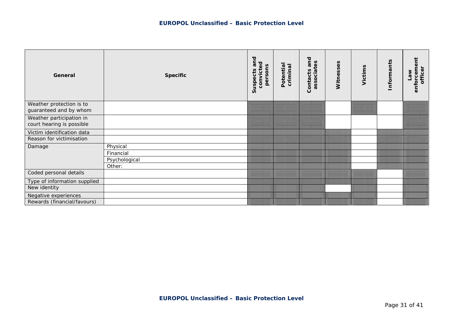| General                                               | <b>Specific</b> | and<br>convicted<br>persons<br>Suspects | Potentia<br>criminal | and<br>associates<br>Contacts | Witnesses | Victims | Informants | enforcement<br>officer<br><b>Me<sub>1</sub></b> |
|-------------------------------------------------------|-----------------|-----------------------------------------|----------------------|-------------------------------|-----------|---------|------------|-------------------------------------------------|
| Weather protection is to<br>guaranteed and by whom    |                 |                                         |                      |                               |           |         |            |                                                 |
| Weather participation in<br>court hearing is possible |                 |                                         |                      |                               |           |         |            |                                                 |
| Victim identification data                            |                 |                                         |                      |                               |           |         |            |                                                 |
| Reason for victimisation                              |                 |                                         |                      |                               |           |         |            |                                                 |
| Damage                                                | Physical        |                                         |                      |                               |           |         |            |                                                 |
|                                                       | Financial       |                                         |                      |                               |           |         |            |                                                 |
|                                                       | Psychological   |                                         |                      |                               |           |         |            |                                                 |
|                                                       | Other:          |                                         |                      |                               |           |         |            |                                                 |
| Coded personal details                                |                 |                                         |                      |                               |           |         |            |                                                 |
| Type of information supplied                          |                 |                                         |                      |                               |           |         |            |                                                 |
| New identity                                          |                 |                                         |                      |                               |           |         |            |                                                 |
| Negative experiences                                  |                 |                                         |                      |                               |           |         |            |                                                 |
| Rewards (financial/favours)                           |                 |                                         |                      |                               |           |         |            |                                                 |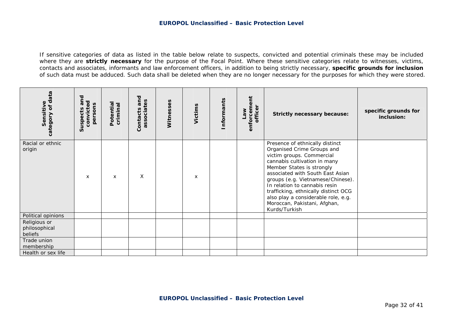If sensitive categories of data as listed in the table below relate to suspects, convicted and potential criminals these may be included where they are **strictly necessary** for the purpose of the Focal Point. Where these sensitive categories relate to witnesses, victims, contacts and associates, informants and law enforcement officers, in addition to being strictly necessary, **specific grounds for inclusion** of such data must be adduced. Such data shall be deleted when they are no longer necessary for the purposes for which they were stored.

| data<br>Sensitive<br>$\mathbf{d}$<br>category | and<br>convicted<br>persons<br>Suspects | Potential<br>criminal | and<br>associates<br>Contacts | Witnesses | Victims | nformants | enforcement<br>officer<br><b>We<sub>1</sub></b> | <b>Strictly necessary because:</b>                                                                                                                                                                                                                                                                                                                                                                | specific grounds for<br>inclusion: |
|-----------------------------------------------|-----------------------------------------|-----------------------|-------------------------------|-----------|---------|-----------|-------------------------------------------------|---------------------------------------------------------------------------------------------------------------------------------------------------------------------------------------------------------------------------------------------------------------------------------------------------------------------------------------------------------------------------------------------------|------------------------------------|
| Racial or ethnic<br>origin                    | X                                       | X                     | X                             |           | x       |           |                                                 | Presence of ethnically distinct<br>Organised Crime Groups and<br>victim groups. Commercial<br>cannabis cultivation in many<br>Member States is strongly<br>associated with South East Asian<br>groups (e.g. Vietnamese/Chinese).<br>In relation to cannabis resin<br>trafficking, ethnically distinct OCG<br>also play a considerable role, e.g.<br>Moroccan, Pakistani, Afghan,<br>Kurds/Turkish |                                    |
| Political opinions                            |                                         |                       |                               |           |         |           |                                                 |                                                                                                                                                                                                                                                                                                                                                                                                   |                                    |
| Religious or<br>philosophical<br>beliefs      |                                         |                       |                               |           |         |           |                                                 |                                                                                                                                                                                                                                                                                                                                                                                                   |                                    |
| Trade union<br>membership                     |                                         |                       |                               |           |         |           |                                                 |                                                                                                                                                                                                                                                                                                                                                                                                   |                                    |
| Health or sex life                            |                                         |                       |                               |           |         |           |                                                 |                                                                                                                                                                                                                                                                                                                                                                                                   |                                    |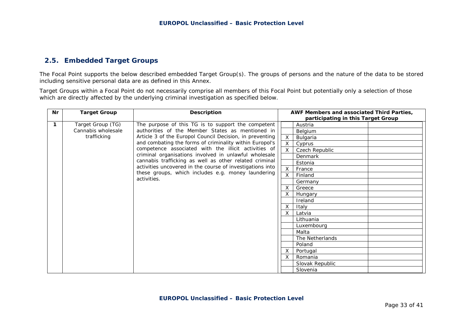# **2.5. Embedded Target Groups**

The Focal Point supports the below described embedded Target Group(s). The groups of persons and the nature of the data to be stored including sensitive personal data are as defined in this Annex.

Target Groups within a Focal Point do not necessarily comprise all members of this Focal Point but potentially only a selection of those which are directly affected by the underlying criminal investigation as specified below.

| Nr | <b>Target Group</b>                                  | <b>Description</b>                                                |                           | AWF Members and associated Third Parties, |  |                 |
|----|------------------------------------------------------|-------------------------------------------------------------------|---------------------------|-------------------------------------------|--|-----------------|
|    |                                                      |                                                                   |                           | participating in this Target Group        |  |                 |
| 1  | Target Group (TG)                                    | The purpose of this TG is to support the competent                |                           | Austria                                   |  |                 |
|    | Cannabis wholesale                                   | authorities of the Member States as mentioned in                  |                           | Belgium                                   |  |                 |
|    | trafficking                                          | Article 3 of the Europol Council Decision, in preventing          | X                         | Bulgaria                                  |  |                 |
|    |                                                      | and combating the forms of criminality within Europol's           | X                         | Cyprus                                    |  |                 |
|    | competence associated with the illicit activities of | X                                                                 | Czech Republic            |                                           |  |                 |
|    |                                                      | criminal organisations involved in unlawful wholesale             |                           | Denmark                                   |  |                 |
|    |                                                      | cannabis trafficking as well as other related criminal            |                           | Estonia                                   |  |                 |
|    |                                                      | activities uncovered in the course of investigations into         | $\times$                  | France                                    |  |                 |
|    |                                                      | these groups, which includes e.g. money laundering<br>activities. | X                         | Finland                                   |  |                 |
|    |                                                      |                                                                   |                           | Germany                                   |  |                 |
|    |                                                      |                                                                   | X                         | Greece                                    |  |                 |
|    |                                                      |                                                                   |                           | Hungary                                   |  |                 |
|    |                                                      |                                                                   |                           | Ireland                                   |  |                 |
|    |                                                      |                                                                   | $\boldsymbol{\mathsf{X}}$ | Italy                                     |  |                 |
|    |                                                      |                                                                   | X                         | Latvia                                    |  |                 |
|    |                                                      |                                                                   |                           | Lithuania                                 |  |                 |
|    |                                                      |                                                                   |                           | Luxembourg                                |  |                 |
|    |                                                      |                                                                   |                           | Malta                                     |  |                 |
|    |                                                      |                                                                   |                           | The Netherlands                           |  |                 |
|    |                                                      |                                                                   |                           | Poland                                    |  |                 |
|    |                                                      |                                                                   | $\times$                  | Portugal                                  |  |                 |
|    |                                                      |                                                                   | $\times$                  | Romania                                   |  |                 |
|    |                                                      |                                                                   |                           |                                           |  | Slovak Republic |
|    |                                                      |                                                                   |                           | Slovenia                                  |  |                 |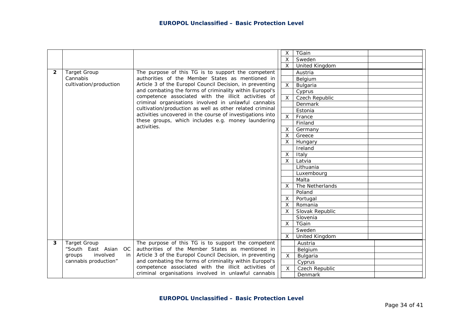|                |                          |                                                                   | X                         | TGain           |  |
|----------------|--------------------------|-------------------------------------------------------------------|---------------------------|-----------------|--|
|                |                          |                                                                   | X                         | Sweden          |  |
|                |                          |                                                                   | $\boldsymbol{\mathsf{X}}$ | United Kingdom  |  |
| $\overline{2}$ | <b>Target Group</b>      | The purpose of this TG is to support the competent                |                           | Austria         |  |
|                | Cannabis                 | authorities of the Member States as mentioned in                  |                           | Belgium         |  |
|                | cultivation/production   | Article 3 of the Europol Council Decision, in preventing          | $\pmb{\times}$            | Bulgaria        |  |
|                |                          | and combating the forms of criminality within Europol's           |                           | Cyprus          |  |
|                |                          | competence associated with the illicit activities of              | $\sf X$                   | Czech Republic  |  |
|                |                          | criminal organisations involved in unlawful cannabis              |                           | Denmark         |  |
|                |                          | cultivation/production as well as other related criminal          |                           | Estonia         |  |
|                |                          | activities uncovered in the course of investigations into         | $\sf X$                   | France          |  |
|                |                          | these groups, which includes e.g. money laundering<br>activities. |                           | Finland         |  |
|                |                          |                                                                   | $\times$                  | Germany         |  |
|                |                          |                                                                   | $\sf X$                   | Greece          |  |
|                |                          |                                                                   | X                         | Hungary         |  |
|                |                          |                                                                   |                           | Ireland         |  |
|                |                          |                                                                   | $\times$                  | Italy           |  |
|                |                          |                                                                   | $\times$                  | Latvia          |  |
|                |                          |                                                                   |                           | Lithuania       |  |
|                |                          |                                                                   |                           | Luxembourg      |  |
|                |                          |                                                                   |                           | Malta           |  |
|                |                          |                                                                   | $\boldsymbol{\mathsf{X}}$ | The Netherlands |  |
|                |                          |                                                                   |                           | Poland          |  |
|                |                          |                                                                   | X                         | Portugal        |  |
|                |                          |                                                                   | X                         | Romania         |  |
|                |                          |                                                                   | X                         | Slovak Republic |  |
|                |                          |                                                                   |                           | Slovenia        |  |
|                |                          |                                                                   | $\times$                  | TGain           |  |
|                |                          |                                                                   |                           | Sweden          |  |
|                |                          |                                                                   | $\mathsf{X}$              | United Kingdom  |  |
| 3              | <b>Target Group</b>      | The purpose of this TG is to support the competent                |                           | Austria         |  |
|                | "South East Asian OC     | authorities of the Member States as mentioned in                  |                           | Belgium         |  |
|                | involved<br>groups<br>in | Article 3 of the Europol Council Decision, in preventing          | $\overline{X}$            | Bulgaria        |  |
|                | cannabis production"     | and combating the forms of criminality within Europol's           |                           | Cyprus          |  |
|                |                          | competence associated with the illicit activities of              | $\overline{X}$            | Czech Republic  |  |
|                |                          | criminal organisations involved in unlawful cannabis              |                           | Denmark         |  |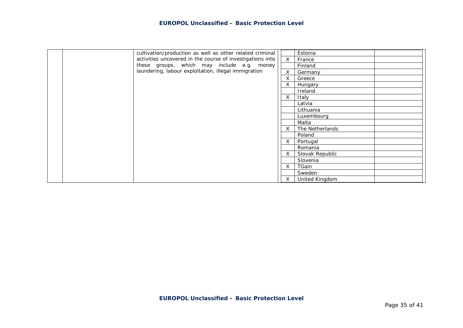| cultivation/production as well as other related criminal  |              | Estonia         |  |
|-----------------------------------------------------------|--------------|-----------------|--|
| activities uncovered in the course of investigations into | $\mathsf{X}$ | France          |  |
| these groups, which may include e.g. money                |              | Finland         |  |
| laundering, labour exploitation, illegal immigration      |              | Germany         |  |
|                                                           | X            | Greece          |  |
|                                                           | X.           | Hungary         |  |
|                                                           |              | Ireland         |  |
|                                                           | X            | Italy           |  |
|                                                           |              | Latvia          |  |
|                                                           |              | Lithuania       |  |
|                                                           |              | Luxembourg      |  |
|                                                           |              | Malta           |  |
|                                                           | X            | The Netherlands |  |
|                                                           |              | Poland          |  |
|                                                           | $\mathsf{X}$ | Portugal        |  |
|                                                           |              | Romania         |  |
|                                                           | $\mathsf{X}$ | Slovak Republic |  |
|                                                           |              | Slovenia        |  |
|                                                           | X            | TGain           |  |
|                                                           |              | Sweden          |  |
|                                                           | $X -$        | United Kingdom  |  |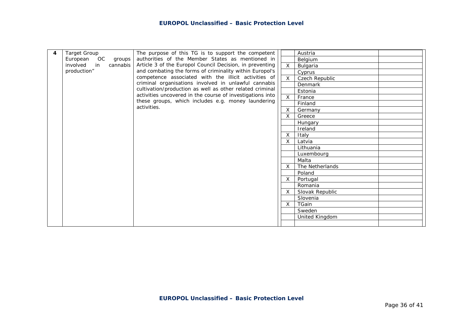| 4 | <b>Target Group</b>     | The purpose of this TG is to support the competent        |                | Austria         |  |
|---|-------------------------|-----------------------------------------------------------|----------------|-----------------|--|
|   | European OC<br>groups   | authorities of the Member States as mentioned in          |                | Belgium         |  |
|   | involved in<br>cannabis | Article 3 of the Europol Council Decision, in preventing  | X              | Bulgaria        |  |
|   | production"             | and combating the forms of criminality within Europol's   |                | Cyprus          |  |
|   |                         | competence associated with the illicit activities of      | X              | Czech Republic  |  |
|   |                         | criminal organisations involved in unlawful cannabis      |                | Denmark         |  |
|   |                         | cultivation/production as well as other related criminal  |                | Estonia         |  |
|   |                         | activities uncovered in the course of investigations into | $\mathsf{X}^-$ | France          |  |
|   |                         | these groups, which includes e.g. money laundering        |                | Finland         |  |
|   |                         | activities.                                               | $\mathsf{X}$   | Germany         |  |
|   |                         |                                                           | $\times$       | Greece          |  |
|   |                         |                                                           |                | Hungary         |  |
|   |                         |                                                           |                | Ireland         |  |
|   |                         |                                                           | X              | Italy           |  |
|   |                         |                                                           | X.             | Latvia          |  |
|   |                         |                                                           |                | Lithuania       |  |
|   |                         |                                                           |                | Luxembourg      |  |
|   |                         |                                                           |                | Malta           |  |
|   |                         |                                                           | $\mathsf{X}$   | The Netherlands |  |
|   |                         |                                                           |                | Poland          |  |
|   |                         |                                                           | $X -$          | Portugal        |  |
|   |                         |                                                           |                | Romania         |  |
|   |                         |                                                           | $\times$       | Slovak Republic |  |
|   |                         |                                                           |                | Slovenia        |  |
|   |                         |                                                           | X              | TGain           |  |
|   |                         |                                                           |                | Sweden          |  |
|   |                         |                                                           |                | United Kingdom  |  |
|   |                         |                                                           |                |                 |  |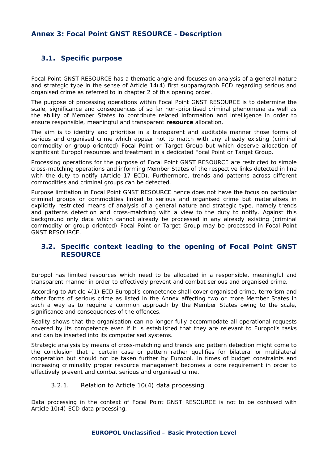# **Annex 3: Focal Point GNST RESOURCE - Description**

# **3.1. Specific purpose**

Focal Point GNST RESOURCE has a thematic angle and focuses on analysis of a **g**eneral **n**ature and **s**trategic **t**ype in the sense of Article 14(4) first subparagraph ECD regarding serious and organised crime as referred to in chapter 2 of this opening order.

The purpose of processing operations within Focal Point GNST RESOURCE is to determine the scale, significance and consequences of so far non-prioritised criminal phenomena as well as the ability of Member States to contribute related information and intelligence in order to ensure responsible, meaningful and transparent **resource** allocation.

The aim is to identify and prioritise in a transparent and auditable manner those forms of serious and organised crime which appear not to match with any already existing (criminal commodity or group oriented) Focal Point or Target Group but which deserve allocation of significant Europol resources and treatment in a dedicated Focal Point or Target Group.

Processing operations for the purpose of Focal Point GNST RESOURCE are restricted to simple cross-matching operations and informing Member States of the respective links detected in line with the duty to notify (Article 17 ECD). Furthermore, trends and patterns across different commodities and criminal groups can be detected.

Purpose limitation in Focal Point GNST RESOURCE hence does not have the focus on particular criminal groups or commodities linked to serious and organised crime but materialises in explicitly restricted means of analysis of a general nature and strategic type, namely trends and patterns detection and cross-matching with a view to the duty to notify. Against this background only data which cannot already be processed in any already existing (criminal commodity or group oriented) Focal Point or Target Group may be processed in Focal Point GNST RESOURCE.

# **3.2. Specific context leading to the opening of Focal Point GNST RESOURCE**

Europol has limited resources which need to be allocated in a responsible, meaningful and transparent manner in order to effectively prevent and combat serious and organised crime.

According to Article 4(1) ECD Europol's competence shall cover organised crime, terrorism and other forms of serious crime as listed in the Annex affecting two or more Member States in such a way as to require a common approach by the Member States owing to the scale, significance and consequences of the offences.

Reality shows that the organisation can no longer fully accommodate all operational requests covered by its competence even if it is established that they are relevant to Europol's tasks and can be inserted into its computerised systems.

Strategic analysis by means of cross-matching and trends and pattern detection might come to the conclusion that a certain case or pattern rather qualifies for bilateral or multilateral cooperation but should not be taken further by Europol. In times of budget constraints and increasing criminality proper resource management becomes a core requirement in order to effectively prevent and combat serious and organised crime.

#### *3.2.1. Relation to Article 10(4) data processing*

Data processing in the context of Focal Point GNST RESOURCE is not to be confused with Article 10(4) ECD data processing.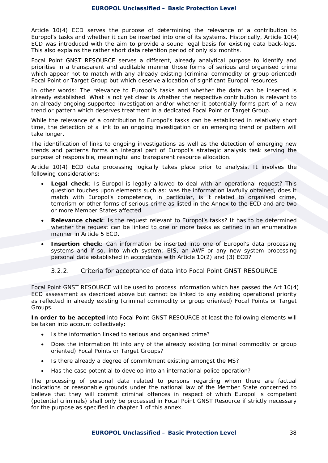Article 10(4) ECD serves the purpose of determining the relevance of a contribution to Europol's tasks and whether it can be inserted into one of its systems. Historically, Article 10(4) ECD was introduced with the aim to provide a sound legal basis for existing data back-logs. This also explains the rather short data retention period of only six months.

Focal Point GNST RESOURCE serves a different, already analytical purpose to identify and prioritise in a transparent and auditable manner those forms of serious and organised crime which appear not to match with any already existing (criminal commodity or group oriented) Focal Point or Target Group but which deserve allocation of significant Europol resources.

In other words: The relevance to Europol's tasks and whether the data can be inserted is already established. What is not yet clear is whether the respective contribution is relevant to an already ongoing supported investigation and/or whether it potentially forms part of a new trend or pattern which deserves treatment in a dedicated Focal Point or Target Group.

While the relevance of a contribution to Europol's tasks can be established in relatively short time, the detection of a link to an ongoing investigation or an emerging trend or pattern will take longer.

The identification of links to ongoing investigations as well as the detection of emerging new trends and patterns forms an integral part of Europol's strategic analysis task serving the purpose of responsible, meaningful and transparent resource allocation.

Article 10(4) ECD data processing logically takes place prior to analysis. It involves the following considerations:

- **Legal check**: Is Europol is legally allowed to deal with an operational request? This question touches upon elements such as: was the information lawfully obtained, does it match with Europol's competence, in particular, is it related to organised crime, terrorism or other forms of serious crime as listed in the Annex to the ECD and are two or more Member States affected.
- **Relevance check**: Is the request relevant to Europol's tasks? It has to be determined whether the request can be linked to one or more tasks as defined in an enumerative manner in Article 5 ECD.
- **Insertion check**: Can information be inserted into one of Europol's data processing systems and if so, into which system: EIS, an AWF or any new system processing personal data established in accordance with Article 10(2) and (3) ECD?

#### *3.2.2. Criteria for acceptance of data into Focal Point GNST RESOURCE*

Focal Point GNST RESOURCE will be used to process information which has passed the Art 10(4) ECD assessment as described above but cannot be linked to any existing operational priority as reflected in already existing (criminal commodity or group oriented) Focal Points or Target Groups.

**In order to be accepted** into Focal Point GNST RESOURCE at least the following elements will be taken into account collectively:

- Is the information linked to serious and organised crime?
- Does the information fit into any of the already existing (criminal commodity or group oriented) Focal Points or Target Groups?
- Is there already a degree of commitment existing amongst the MS?
- Has the case potential to develop into an international police operation?

The processing of personal data related to persons regarding whom there are factual indications or reasonable grounds under the national law of the Member State concerned to believe that they will commit criminal offences in respect of which Europol is competent (potential criminals) shall only be processed in Focal Point GNST Resource if strictly necessary for the purpose as specified in chapter 1 of this annex.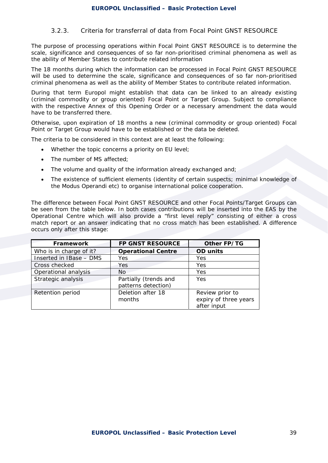#### *3.2.3. Criteria for transferral of data from Focal Point GNST RESOURCE*

The purpose of processing operations within Focal Point GNST RESOURCE is to determine the scale, significance and consequences of so far non-prioritised criminal phenomena as well as the ability of Member States to contribute related information

The 18 months during which the information can be processed in Focal Point GNST RESOURCE will be used to determine the scale, significance and consequences of so far non-prioritised criminal phenomena as well as the ability of Member States to contribute related information.

During that term Europol might establish that data can be linked to an already existing (criminal commodity or group oriented) Focal Point or Target Group. Subject to compliance with the respective Annex of this Opening Order or a necessary amendment the data would have to be transferred there.

Otherwise, upon expiration of 18 months a new (criminal commodity or group oriented) Focal Point or Target Group would have to be established or the data be deleted.

The criteria to be considered in this context are at least the following:

- Whether the topic concerns a priority on EU level:
- The number of MS affected:
- The volume and quality of the information already exchanged and;
- The existence of sufficient elements (identity of certain suspects; minimal knowledge of the Modus Operandi etc) to organise international police cooperation.

The difference between Focal Point GNST RESOURCE and other Focal Points/Target Groups can be seen from the table below. In both cases contributions will be inserted into the EAS by the Operational Centre which will also provide a "first level reply" consisting of either a cross match report or an answer indicating that no cross match has been established. A difference occurs only after this stage:

| Framework               | <b>FP GNST RESOURCE</b>                      | Other FP/TG                                             |
|-------------------------|----------------------------------------------|---------------------------------------------------------|
| Who is in charge of it? | <b>Operational Centre</b>                    | <b>OD</b> units                                         |
| Inserted in IBase - DMS | Yes                                          | Yes                                                     |
| Cross checked           | Yes.                                         | Yes                                                     |
| Operational analysis    | <b>No</b>                                    | Yes                                                     |
| Strategic analysis      | Partially (trends and<br>patterns detection) | Yes                                                     |
| Retention period        | Deletion after 18<br>months                  | Review prior to<br>expiry of three years<br>after input |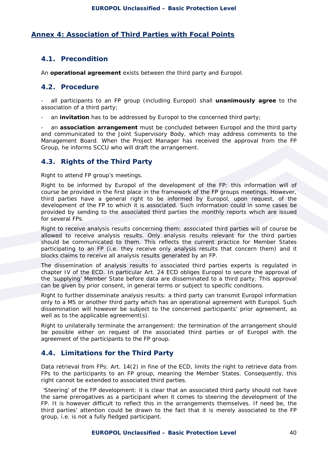## **Annex 4: Association of Third Parties with Focal Points**

## **4.1. Precondition**

An **operational agreement** exists between the third party and Europol.

#### **4.2. Procedure**

- all participants to an FP group (including Europol) shall **unanimously agree** to the association of a third party;

an **invitation** has to be addressed by Europol to the concerned third party;

- an **association arrangement** must be concluded between Europol and the third party and communicated to the Joint Supervisory Body, which may address comments to the Management Board. When the Project Manager has received the approval from the FP Group, he informs SCCU who will draft the arrangement.

## **4.3. Rights of the Third Party**

#### *Right to attend FP group's meetings*.

*Right to be informed by Europol of the development of the FP*: this information will of course be provided in the first place in the framework of the FP groups meetings. However, third parties have a general right to be informed by Europol, upon request, of the development of the FP to which it is associated. Such information could in some cases be provided by sending to the associated third parties the monthly reports which are issued for several FPs.

*Right to receive analysis results concerning them*: associated third parties will of course be allowed to receive analysis results. Only analysis results relevant for the third parties should be communicated to them. This reflects the current practice for Member States participating to an FP (i.e. they receive only analysis results that concern them) and it blocks claims to receive all analysis results generated by an FP.

The *dissemination of analysis results to associated third parties experts* is regulated in chapter IV of the ECD. In particular Art. 24 ECD obliges Europol to secure the approval of the 'supplying' Member State before data are disseminated to a third party. This approval can be given by prior consent, in general terms or subject to specific conditions.

*Right to further disseminate analysis results*: a third party can transmit Europol information only to a MS or another third party which has an operational agreement with Europol. Such dissemination will however be subject to the concerned participants' prior agreement, as well as to the applicable agreement(s).

*Right to unilaterally terminate the arrangement*: the termination of the arrangement should be possible either on request of the associated third parties or of Europol with the agreement of the participants to the FP group.

# **4.4. Limitations for the Third Party**

*Data retrieval from FPs*: Art. 14(2) in fine of the ECD, limits the right to retrieve data from FPs to the participants to an FP group, meaning the Member States. Consequently, this right cannot be extended to associated third parties.

 *'Steering' of the FP development*: it is clear that an associated third party should not have the same prerogatives as a participant when it comes to steering the development of the FP. It is however difficult to reflect this in the arrangements themselves. If need be, the third parties' attention could be drawn to the fact that it is merely associated to the FP group, i.e. is not a fully fledged participant.